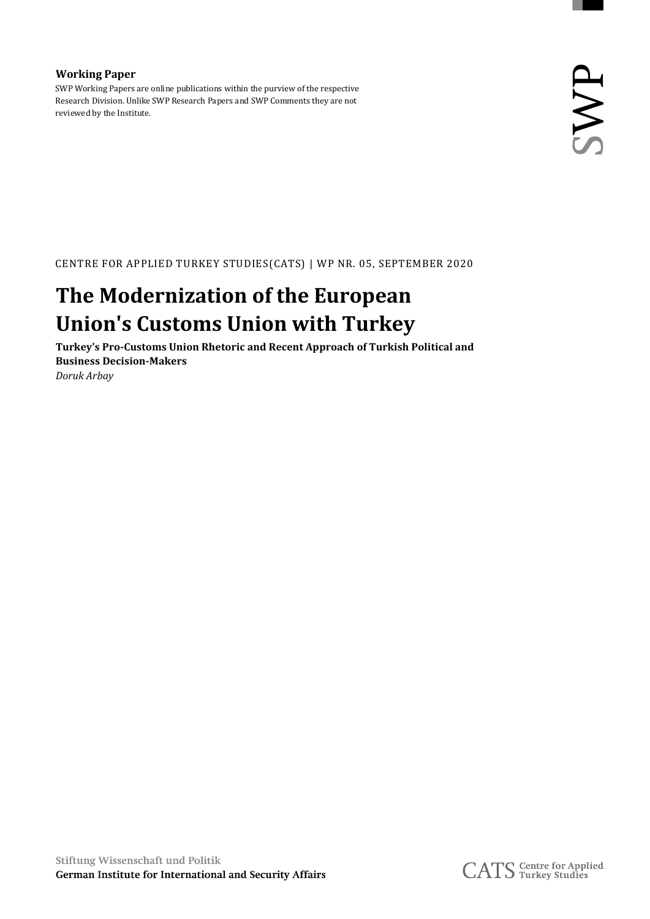### **Working Paper**

SWP Working Papers are online publications within the purview of the respective Research Division. Unlike SWP Research Papers and SWP Comments they are not reviewed by the Institute.

CENTRE FOR APPLIED TURKEY STUDIES(CATS) | WP NR. 05, SEPTEMBER 2020

# **The Modernization of the European Union's Customs Union with Turkey**

**Turkey's Pro-Customs Union Rhetoric and Recent Approach of Turkish Political and Business Decision-Makers** *Doruk Arbay*

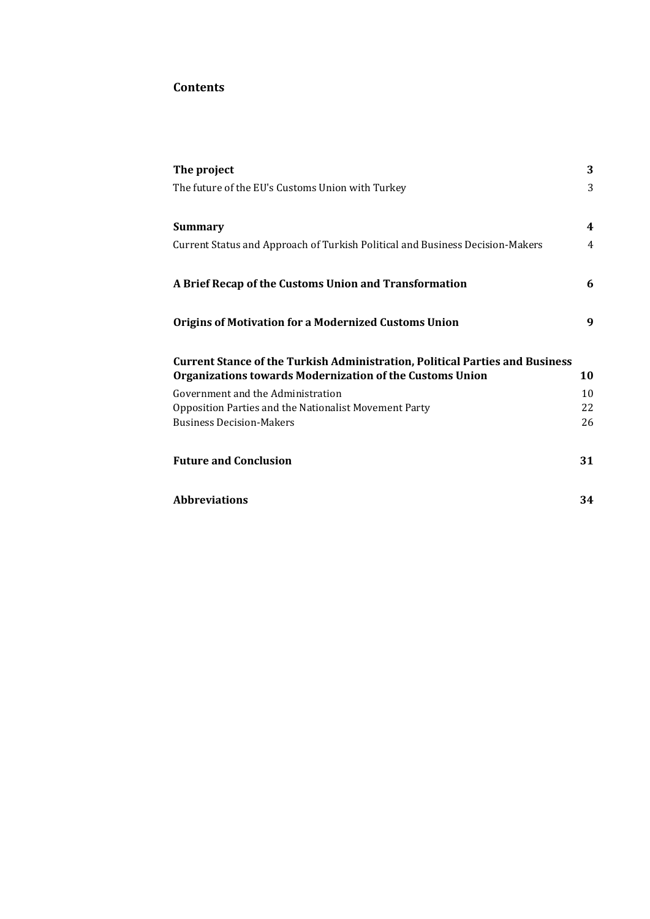# **Contents**

| The project                                                                         | 3  |
|-------------------------------------------------------------------------------------|----|
| The future of the EU's Customs Union with Turkey                                    | 3  |
|                                                                                     |    |
| <b>Summary</b>                                                                      | 4  |
| Current Status and Approach of Turkish Political and Business Decision-Makers       | 4  |
| A Brief Recap of the Customs Union and Transformation                               | 6  |
| <b>Origins of Motivation for a Modernized Customs Union</b>                         | 9  |
| <b>Current Stance of the Turkish Administration, Political Parties and Business</b> |    |
| Organizations towards Modernization of the Customs Union                            | 10 |
| Government and the Administration                                                   | 10 |
| Opposition Parties and the Nationalist Movement Party                               | 22 |
| <b>Business Decision-Makers</b>                                                     | 26 |
| <b>Future and Conclusion</b>                                                        | 31 |
| <b>Abbreviations</b>                                                                | 34 |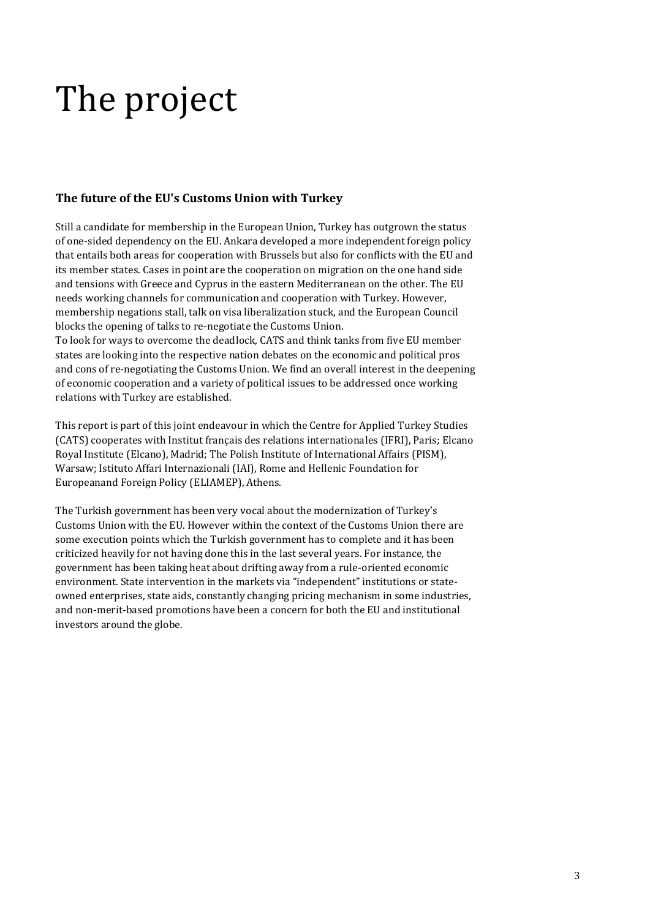# <span id="page-2-0"></span>The project

# <span id="page-2-1"></span>**The future of the EU's Customs Union with Turkey**

Still a candidate for membership in the European Union, Turkey has outgrown the status of one-sided dependency on the EU. Ankara developed a more independent foreign policy that entails both areas for cooperation with Brussels but also for conflicts with the EU and its member states. Cases in point are the cooperation on migration on the one hand side and tensions with Greece and Cyprus in the eastern Mediterranean on the other. The EU needs working channels for communication and cooperation with Turkey. However, membership negations stall, talk on visa liberalization stuck, and the European Council blocks the opening of talks to re-negotiate the Customs Union.

To look for ways to overcome the deadlock, CATS and think tanks from five EU member states are looking into the respective nation debates on the economic and political pros and cons of re-negotiating the Customs Union. We find an overall interest in the deepening of economic cooperation and a variety of political issues to be addressed once working relations with Turkey are established.

This report is part of this joint endeavour in which the Centre for Applied Turkey Studies (CATS) cooperates with Institut français des relations internationales (IFRI), Paris; Elcano Royal Institute (Elcano), Madrid; The Polish Institute of International Affairs (PISM), Warsaw; Istituto Affari Internazionali (IAI), Rome and Hellenic Foundation for Europeanand Foreign Policy (ELIAMEP), Athens.

The Turkish government has been very vocal about the modernization of Turkey's Customs Union with the EU. However within the context of the Customs Union there are some execution points which the Turkish government has to complete and it has been criticized heavily for not having done this in the last several years. For instance, the government has been taking heat about drifting away from a rule-oriented economic environment. State intervention in the markets via "independent" institutions or stateowned enterprises, state aids, constantly changing pricing mechanism in some industries, and non-merit-based promotions have been a concern for both the EU and institutional investors around the globe.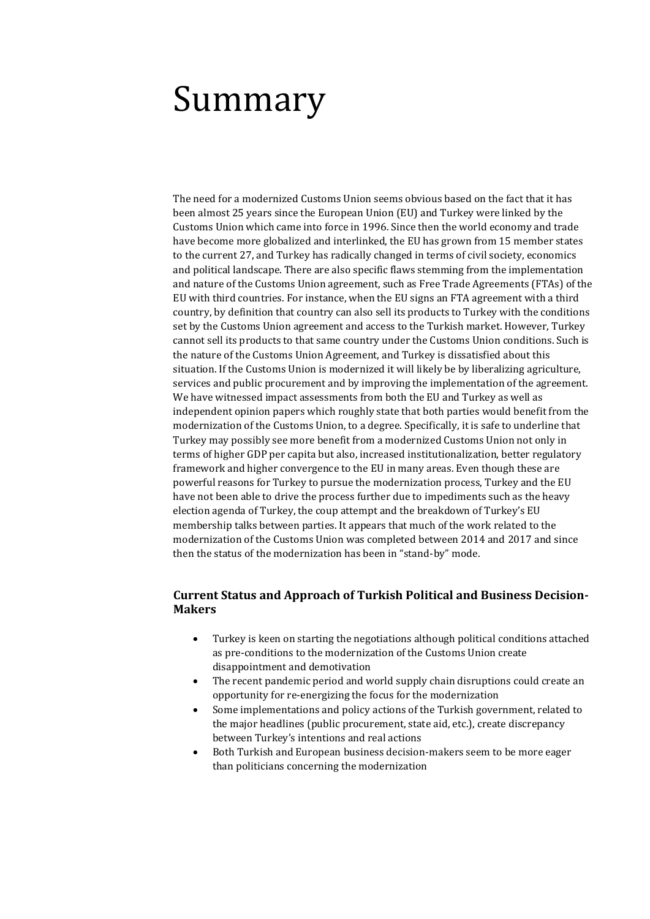# <span id="page-3-0"></span>Summary

The need for a modernized Customs Union seems obvious based on the fact that it has been almost 25 years since the European Union (EU) and Turkey were linked by the Customs Union which came into force in 1996. Since then the world economy and trade have become more globalized and interlinked, the EU has grown from 15 member states to the current 27, and Turkey has radically changed in terms of civil society, economics and political landscape. There are also specific flaws stemming from the implementation and nature of the Customs Union agreement, such as Free Trade Agreements (FTAs) of the EU with third countries. For instance, when the EU signs an FTA agreement with a third country, by definition that country can also sell its products to Turkey with the conditions set by the Customs Union agreement and access to the Turkish market. However, Turkey cannot sell its products to that same country under the Customs Union conditions. Such is the nature of the Customs Union Agreement, and Turkey is dissatisfied about this situation. If the Customs Union is modernized it will likely be by liberalizing agriculture, services and public procurement and by improving the implementation of the agreement. We have witnessed impact assessments from both the EU and Turkey as well as independent opinion papers which roughly state that both parties would benefit from the modernization of the Customs Union, to a degree. Specifically, it is safe to underline that Turkey may possibly see more benefit from a modernized Customs Union not only in terms of higher GDP per capita but also, increased institutionalization, better regulatory framework and higher convergence to the EU in many areas. Even though these are powerful reasons for Turkey to pursue the modernization process, Turkey and the EU have not been able to drive the process further due to impediments such as the heavy election agenda of Turkey, the coup attempt and the breakdown of Turkey's EU membership talks between parties. It appears that much of the work related to the modernization of the Customs Union was completed between 2014 and 2017 and since then the status of the modernization has been in "stand-by" mode.

## <span id="page-3-1"></span>**Current Status and Approach of Turkish Political and Business Decision-Makers**

- Turkey is keen on starting the negotiations although political conditions attached as pre-conditions to the modernization of the Customs Union create disappointment and demotivation
- The recent pandemic period and world supply chain disruptions could create an opportunity for re-energizing the focus for the modernization
- Some implementations and policy actions of the Turkish government, related to the major headlines (public procurement, state aid, etc.), create discrepancy between Turkey's intentions and real actions
- Both Turkish and European business decision-makers seem to be more eager than politicians concerning the modernization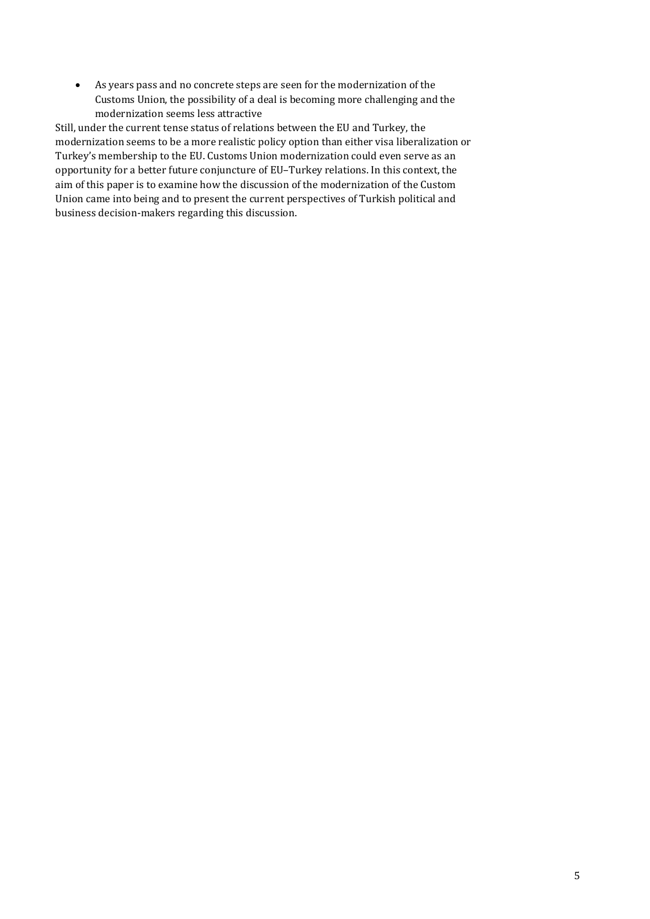As years pass and no concrete steps are seen for the modernization of the Customs Union, the possibility of a deal is becoming more challenging and the modernization seems less attractive

Still, under the current tense status of relations between the EU and Turkey, the modernization seems to be a more realistic policy option than either visa liberalization or Turkey's membership to the EU. Customs Union modernization could even serve as an opportunity for a better future conjuncture of EU–Turkey relations. In this context, the aim of this paper is to examine how the discussion of the modernization of the Custom Union came into being and to present the current perspectives of Turkish political and business decision-makers regarding this discussion.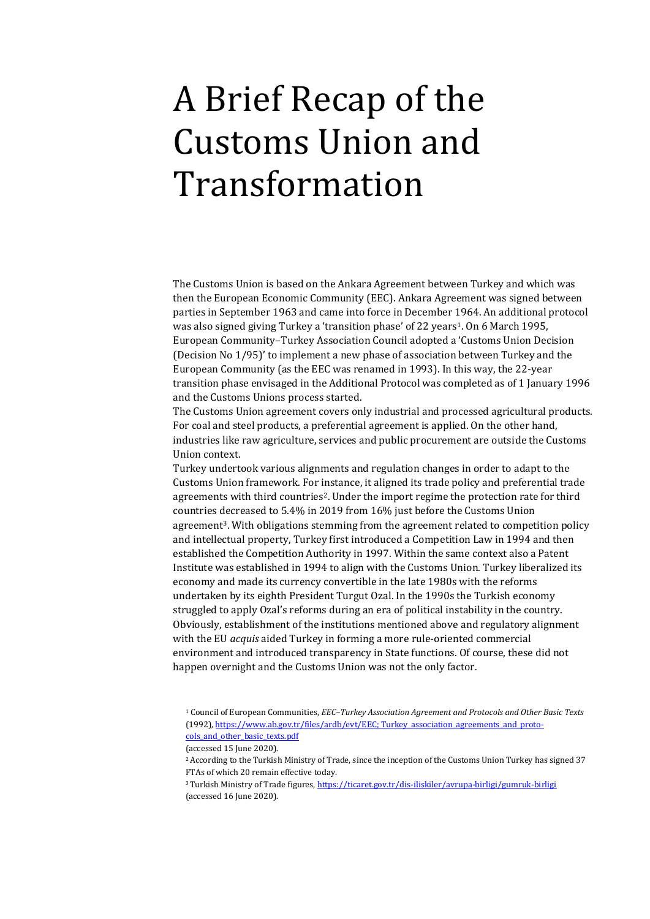# <span id="page-5-0"></span>A Brief Recap of the Customs Union and Transformation

The Customs Union is based on the Ankara Agreement between Turkey and which was then the European Economic Community (EEC). Ankara Agreement was signed between parties in September 1963 and came into force in December 1964. An additional protocol was also signed giving Turkey a 'transition phase' of 22 years<sup>1</sup>. On 6 March 1995, European Community–Turkey Association Council adopted a 'Customs Union Decision (Decision No 1/95)' to implement a new phase of association between Turkey and the European Community (as the EEC was renamed in 1993). In this way, the 22-year transition phase envisaged in the Additional Protocol was completed as of 1 January 1996 and the Customs Unions process started.

The Customs Union agreement covers only industrial and processed agricultural products. For coal and steel products, a preferential agreement is applied. On the other hand, industries like raw agriculture, services and public procurement are outside the Customs Union context.

Turkey undertook various alignments and regulation changes in order to adapt to the Customs Union framework. For instance, it aligned its trade policy and preferential trade agreements with third countries<sup>2</sup>. Under the import regime the protection rate for third countries decreased to 5.4% in 2019 from 16% just before the Customs Union agreement3. With obligations stemming from the agreement related to competition policy and intellectual property, Turkey first introduced a Competition Law in 1994 and then established the Competition Authority in 1997. Within the same context also a Patent Institute was established in 1994 to align with the Customs Union. Turkey liberalized its economy and made its currency convertible in the late 1980s with the reforms undertaken by its eighth President Turgut Ozal. In the 1990s the Turkish economy struggled to apply Ozal's reforms during an era of political instability in the country. Obviously, establishment of the institutions mentioned above and regulatory alignment with the EU *acquis* aided Turkey in forming a more rule-oriented commercial environment and introduced transparency in State functions. Of course, these did not happen overnight and the Customs Union was not the only factor.

<sup>1</sup> Council of European Communities, *EEC–Turkey Association Agreement and Protocols and Other Basic Texts* (1992), https://www.ab.gov.tr/files/ardb/evt/EEC; Turkey association agreements and protocols and other basic texts.pdf

<sup>(</sup>accessed 15 June 2020).

<sup>2</sup>According to the Turkish Ministry of Trade, since the inception of the Customs Union Turkey has signed 37 FTAs of which 20 remain effective today.

<sup>3</sup>Turkish Ministry of Trade figures[, https://ticaret.gov.tr/dis-iliskiler/avrupa-birligi/gumruk-birligi](https://ticaret.gov.tr/dis-iliskiler/avrupa-birligi/gumruk-birligi) (accessed 16 June 2020).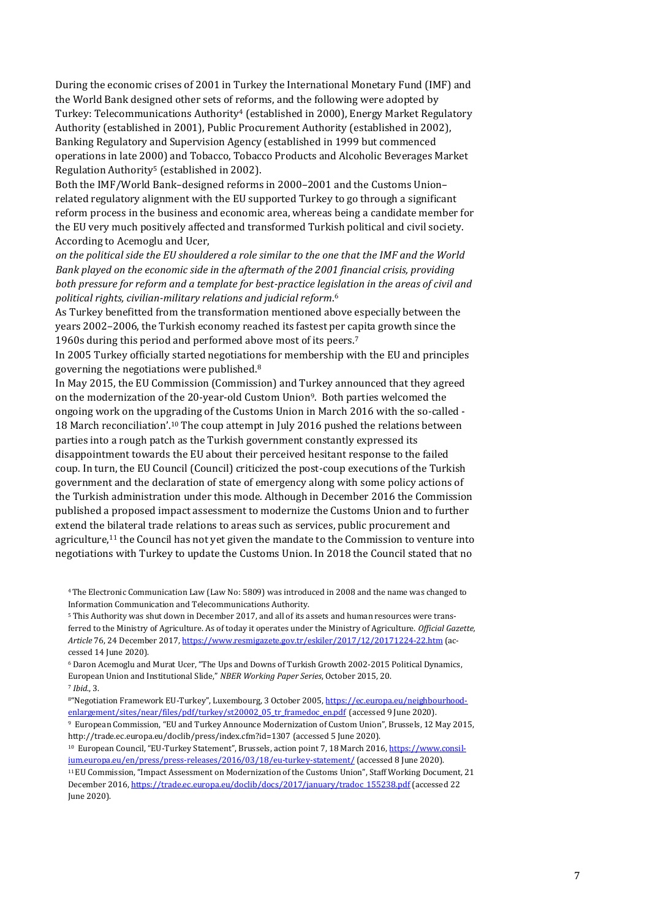During the economic crises of 2001 in Turkey the International Monetary Fund (IMF) and the World Bank designed other sets of reforms, and the following were adopted by Turkey: Telecommunications Authority<sup>4</sup> (established in 2000), Energy Market Regulatory Authority (established in 2001), Public Procurement Authority (established in 2002), Banking Regulatory and Supervision Agency (established in 1999 but commenced operations in late 2000) and Tobacco, Tobacco Products and Alcoholic Beverages Market Regulation Authority<sup>5</sup> (established in 2002).

Both the IMF/World Bank–designed reforms in 2000–2001 and the Customs Union– related regulatory alignment with the EU supported Turkey to go through a significant reform process in the business and economic area, whereas being a candidate member for the EU very much positively affected and transformed Turkish political and civil society. According to Acemoglu and Ucer,

*on the political side the EU shouldered a role similar to the one that the IMF and the World Bank played on the economic side in the aftermath of the 2001 financial crisis, providing both pressure for reform and a template for best-practice legislation in the areas of civil and political rights, civilian-military relations and judicial reform*. 6

As Turkey benefitted from the transformation mentioned above especially between the years 2002–2006, the Turkish economy reached its fastest per capita growth since the 1960s during this period and performed above most of its peers.<sup>7</sup>

In 2005 Turkey officially started negotiations for membership with the EU and principles governing the negotiations were published.<sup>8</sup>

In May 2015, the EU Commission (Commission) and Turkey announced that they agreed on the modernization of the 20-year-old Custom Union9. Both parties welcomed the ongoing work on the upgrading of the Customs Union in March 2016 with the so-called - 18 March reconciliation'.<sup>10</sup> The coup attempt in July 2016 pushed the relations between parties into a rough patch as the Turkish government constantly expressed its disappointment towards the EU about their perceived hesitant response to the failed coup. In turn, the EU Council (Council) criticized the post-coup executions of the Turkish government and the declaration of state of emergency along with some policy actions of the Turkish administration under this mode. Although in December 2016 the Commission published a proposed impact assessment to modernize the Customs Union and to further extend the bilateral trade relations to areas such as services, public procurement and agriculture, $11$  the Council has not yet given the mandate to the Commission to venture into negotiations with Turkey to update the Customs Union. In 2018 the Council stated that no

<sup>4</sup>The Electronic Communication Law (Law No: 5809) was introduced in 2008 and the name was changed to Information Communication and Telecommunications Authority.

<sup>5</sup> This Authority was shut down in December 2017, and all of its assets and human resources were transferred to the Ministry of Agriculture. As of today it operates under the Ministry of Agriculture. *Official Gazette, Article* 76, 24 December 2017[, https://www.resmigazete.gov.tr/eskiler/2017/12/20171224-22.htm](https://www.resmigazete.gov.tr/eskiler/2017/12/20171224-22.htm) (accessed 14 June 2020).

<sup>6</sup> Daron Acemoglu and Murat Ucer, "The Ups and Downs of Turkish Growth 2002-2015 Political Dynamics, European Union and Institutional Slide," *NBER Working Paper Series*, October 2015, 20. <sup>7</sup> *Ibid*., 3.

<sup>&</sup>lt;sup>8"</sup>Negotiation Framework EU-Turkey", Luxembourg, 3 October 2005, [https://ec.europa.eu/neighbourhood](https://ec.europa.eu/neighbourhood-enlargement/sites/near/files/pdf/turkey/st20002_05_tr_framedoc_en.pdf)[enlargement/sites/near/files/pdf/turkey/st20002\\_05\\_tr\\_framedoc\\_en.pdf](https://ec.europa.eu/neighbourhood-enlargement/sites/near/files/pdf/turkey/st20002_05_tr_framedoc_en.pdf) (accessed 9 June 2020).

<sup>9</sup> European Commission, "EU and Turkey Announce Modernization of Custom Union", Brussels, 12 May 2015, <http://trade.ec.europa.eu/doclib/press/index.cfm?id=1307> (accessed 5 June 2020).

<sup>10</sup> European Council, "EU-Turkey Statement", Brussels, action point 7, 18 March 2016, [https://www.consil](https://www.consilium.europa.eu/en/press/press-releases/2016/03/18/eu-turkey-statement/)[ium.europa.eu/en/press/press-releases/2016/03/18/eu-turkey-statement/](https://www.consilium.europa.eu/en/press/press-releases/2016/03/18/eu-turkey-statement/) (accessed 8 June 2020).

<sup>11</sup>EU Commission, "Impact Assessment on Modernization of the Customs Union", Staff Working Document, 21 December 2016[, https://trade.ec.europa.eu/doclib/docs/2017/january/tradoc\\_155238.pdf](https://trade.ec.europa.eu/doclib/docs/2017/january/tradoc_155238.pdf) (accessed 22 June 2020).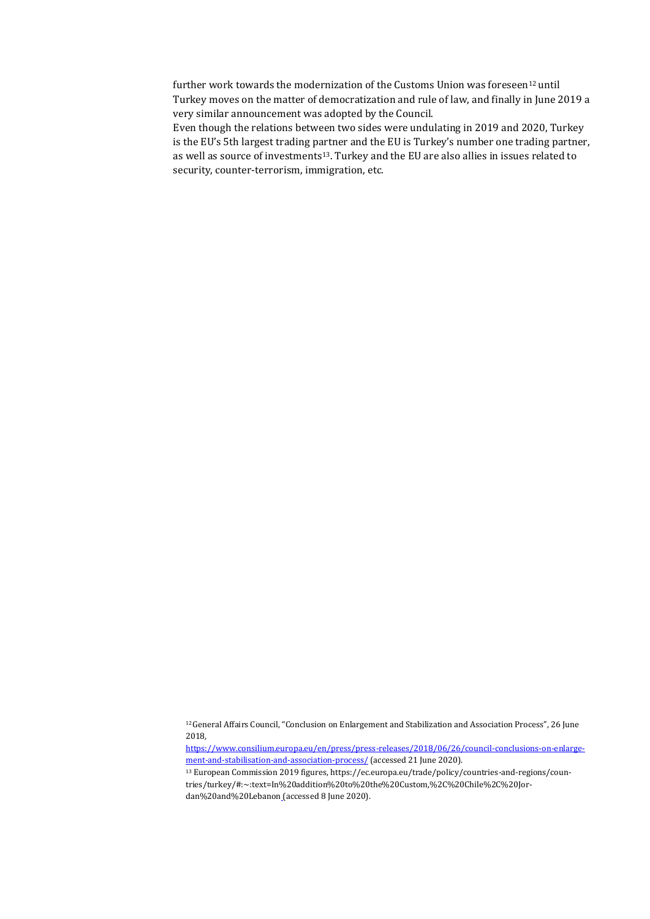further work towards the modernization of the Customs Union was foreseen<sup>12</sup> until Turkey moves on the matter of democratization and rule of law, and finally in June 2019 a very similar announcement was adopted by the Council.

Even though the relations between two sides were undulating in 2019 and 2020, Turkey is the EU's 5th largest trading partner and the EU is Turkey's number one trading partner, as well as source of investments<sup>13</sup>. Turkey and the EU are also allies in issues related to security, counter-terrorism, immigration, etc.

<sup>12</sup>General Affairs Council, "Conclusion on Enlargement and Stabilization and Association Process", 26 June 2018,

[https://www.consilium.europa.eu/en/press/press-releases/2018/06/26/council-conclusions-on-enlarge](https://www.consilium.europa.eu/en/press/press-releases/2018/06/26/council-conclusions-on-enlargement-and-stabilisation-and-association-process/)[ment-and-stabilisation-and-association-process/](https://www.consilium.europa.eu/en/press/press-releases/2018/06/26/council-conclusions-on-enlargement-and-stabilisation-and-association-process/) (accessed 21 June 2020).

<sup>13</sup> European Commission 2019 figures[, https://ec.europa.eu/trade/policy/countries-and-regions/coun](https://ec.europa.eu/trade/policy/countries-and-regions/countries/turkey/#:~:text=In addition to the Custom,%2C Chile%2C Jordan and Lebanon)[tries/turkey/#:~:text=In%20addition%20to%20the%20Custom,%2C%20Chile%2C%20Jor](https://ec.europa.eu/trade/policy/countries-and-regions/countries/turkey/#:~:text=In addition to the Custom,%2C Chile%2C Jordan and Lebanon)[dan%20and%20Lebanon](https://ec.europa.eu/trade/policy/countries-and-regions/countries/turkey/#:~:text=In addition to the Custom,%2C Chile%2C Jordan and Lebanon) (accessed 8 June 2020).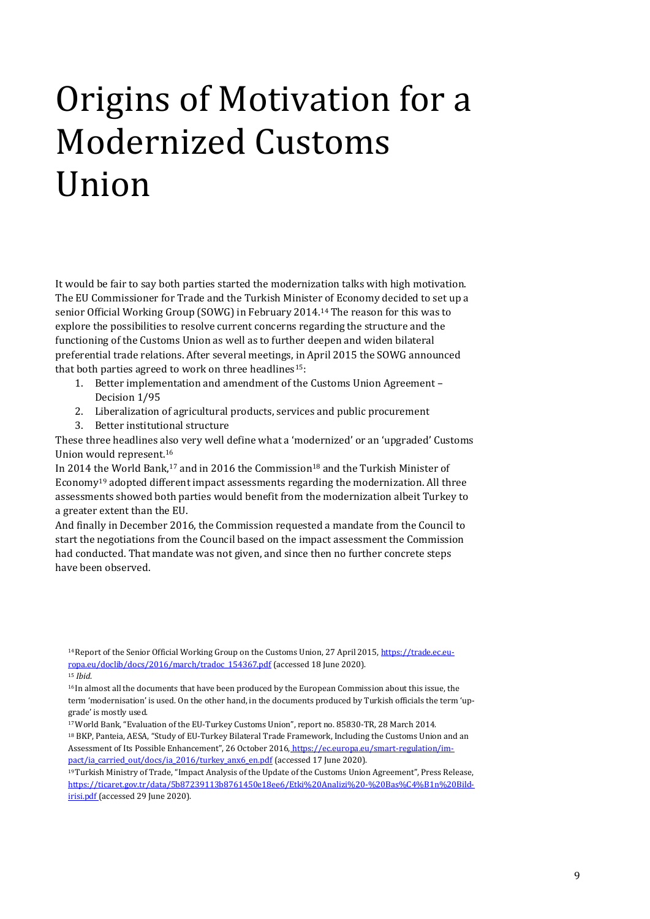# <span id="page-8-0"></span>Origins of Motivation for a Modernized Customs Union

It would be fair to say both parties started the modernization talks with high motivation. The EU Commissioner for Trade and the Turkish Minister of Economy decided to set up a senior Official Working Group (SOWG) in February 2014.<sup>14</sup> The reason for this was to explore the possibilities to resolve current concerns regarding the structure and the functioning of the Customs Union as well as to further deepen and widen bilateral preferential trade relations. After several meetings, in April 2015 the SOWG announced that both parties agreed to work on three headlines<sup>15</sup>:

- 1. Better implementation and amendment of the Customs Union Agreement Decision 1/95
- 2. Liberalization of agricultural products, services and public procurement
- 3. Better institutional structure

These three headlines also very well define what a 'modernized' or an 'upgraded' Customs Union would represent.<sup>16</sup>

In 2014 the World Bank,<sup>17</sup> and in 2016 the Commission<sup>18</sup> and the Turkish Minister of Economy<sup>19</sup> adopted different impact assessments regarding the modernization. All three assessments showed both parties would benefit from the modernization albeit Turkey to a greater extent than the EU.

And finally in December 2016, the Commission requested a mandate from the Council to start the negotiations from the Council based on the impact assessment the Commission had conducted. That mandate was not given, and since then no further concrete steps have been observed.

<sup>16</sup> In almost all the documents that have been produced by the European Commission about this issue, the term 'modernisation' is used. On the other hand, in the documents produced by Turkish officials the term 'upgrade' is mostly used.

<sup>17</sup>World Bank, "Evaluation of the EU-Turkey Customs Union", report no. 85830-TR, 28 March 2014. <sup>18</sup> BKP, Panteia, AESA, "Study of EU-Turkey Bilateral Trade Framework, Including the Customs Union and an Assessment of Its Possible Enhancement", 26 October 2016, [https://ec.europa.eu/smart-regulation/im](https://ec.europa.eu/smart-regulation/impact/ia_carried_out/docs/ia_2016/turkey_anx6_en.pdf)[pact/ia\\_carried\\_out/docs/ia\\_2016/turkey\\_anx6\\_en.pdf](https://ec.europa.eu/smart-regulation/impact/ia_carried_out/docs/ia_2016/turkey_anx6_en.pdf) (accessed 17 June 2020).

<sup>19</sup>Turkish Ministry of Trade, "Impact Analysis of the Update of the Customs Union Agreement", Press Release, [https://ticaret.gov.tr/data/5b87239113b8761450e18ee6/Etki%20Analizi%20-%20Bas%C4%B1n%20Bild](https://ticaret.gov.tr/data/5b87239113b8761450e18ee6/Etki%20Analizi%20-%20Basın%20Bildirisi.pdf)[irisi.pdf](https://ticaret.gov.tr/data/5b87239113b8761450e18ee6/Etki%20Analizi%20-%20Basın%20Bildirisi.pdf) (accessed 29 June 2020).

<sup>&</sup>lt;sup>14</sup> Report of the Senior Official Working Group on the Customs Union, 27 April 2015[, https://trade.ec.eu](https://trade.ec.europa.eu/doclib/docs/2016/march/tradoc_154367.pdf)[ropa.eu/doclib/docs/2016/march/tradoc\\_154367.pdf](https://trade.ec.europa.eu/doclib/docs/2016/march/tradoc_154367.pdf) (accessed 18 June 2020).

<sup>15</sup> *Ibid*.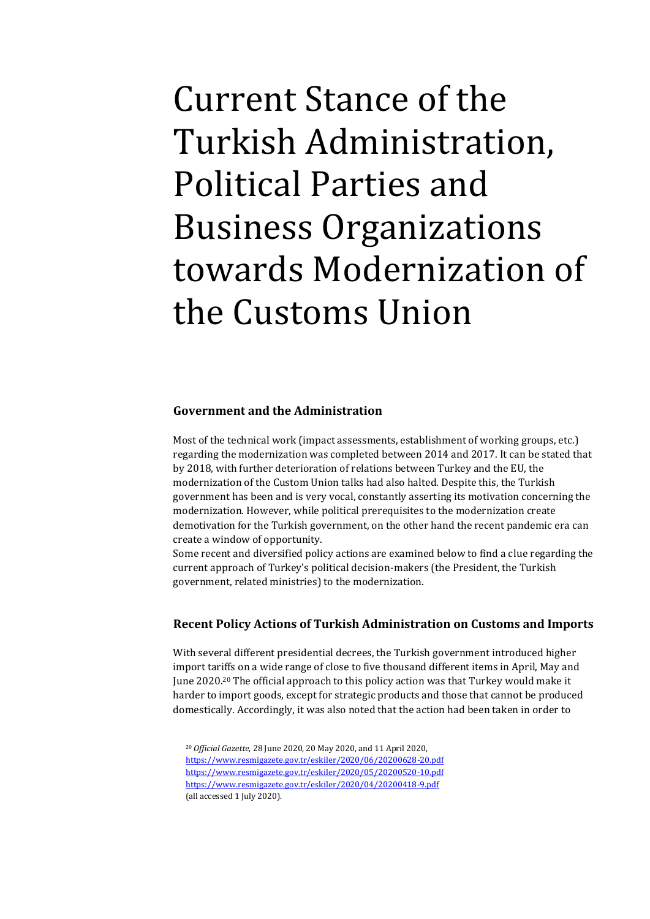<span id="page-9-0"></span>Current Stance of the Turkish Administration, Political Parties and Business Organizations towards Modernization of the Customs Union

### <span id="page-9-1"></span>**Government and the Administration**

Most of the technical work (impact assessments, establishment of working groups, etc.) regarding the modernization was completed between 2014 and 2017. It can be stated that by 2018, with further deterioration of relations between Turkey and the EU, the modernization of the Custom Union talks had also halted. Despite this, the Turkish government has been and is very vocal, constantly asserting its motivation concerning the modernization. However, while political prerequisites to the modernization create demotivation for the Turkish government, on the other hand the recent pandemic era can create a window of opportunity.

Some recent and diversified policy actions are examined below to find a clue regarding the current approach of Turkey's political decision-makers (the President, the Turkish government, related ministries) to the modernization.

#### **Recent Policy Actions of Turkish Administration on Customs and Imports**

With several different presidential decrees, the Turkish government introduced higher import tariffs on a wide range of close to five thousand different items in April, May and June 2020.<sup>20</sup> The official approach to this policy action was that Turkey would make it harder to import goods, except for strategic products and those that cannot be produced domestically. Accordingly, it was also noted that the action had been taken in order to

<sup>20</sup> *Official Gazette*, 28 June 2020, 20 May 2020, and 11 April 2020, <https://www.resmigazete.gov.tr/eskiler/2020/06/20200628-20.pdf> <https://www.resmigazete.gov.tr/eskiler/2020/05/20200520-10.pdf> <https://www.resmigazete.gov.tr/eskiler/2020/04/20200418-9.pdf> (all accessed 1 July 2020).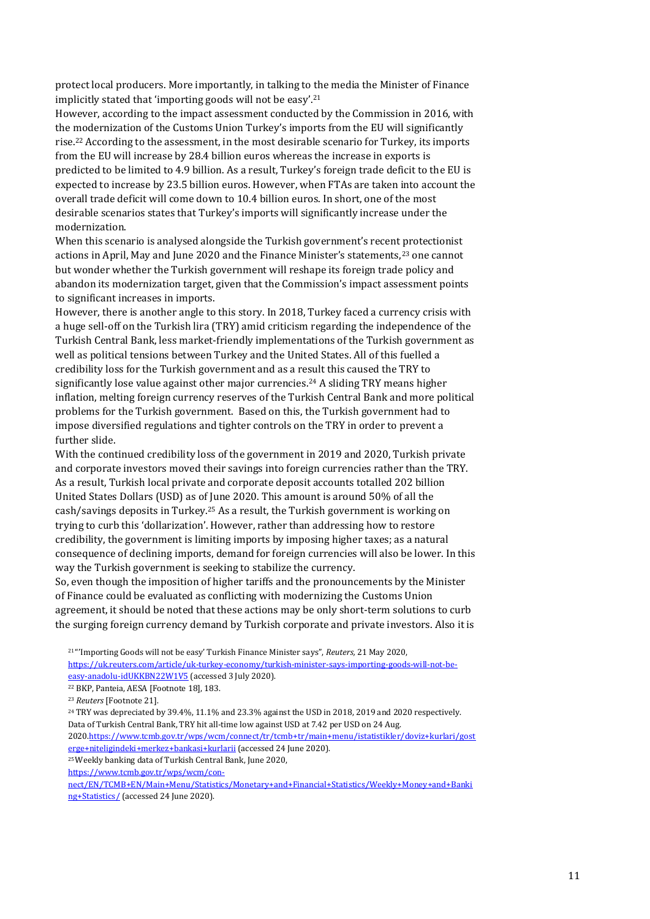protect local producers. More importantly, in talking to the media the Minister of Finance implicitly stated that 'importing goods will not be easy'.<sup>21</sup>

However, according to the impact assessment conducted by the Commission in 2016, with the modernization of the Customs Union Turkey's imports from the EU will significantly rise.<sup>22</sup> According to the assessment, in the most desirable scenario for Turkey, its imports from the EU will increase by 28.4 billion euros whereas the increase in exports is predicted to be limited to 4.9 billion. As a result, Turkey's foreign trade deficit to the EU is expected to increase by 23.5 billion euros. However, when FTAs are taken into account the overall trade deficit will come down to 10.4 billion euros. In short, one of the most desirable scenarios states that Turkey's imports will significantly increase under the modernization.

When this scenario is analysed alongside the Turkish government's recent protectionist actions in April, May and June 2020 and the Finance Minister's statements,<sup>23</sup> one cannot but wonder whether the Turkish government will reshape its foreign trade policy and abandon its modernization target, given that the Commission's impact assessment points to significant increases in imports.

However, there is another angle to this story. In 2018, Turkey faced a currency crisis with a huge sell-off on the Turkish lira (TRY) amid criticism regarding the independence of the Turkish Central Bank, less market-friendly implementations of the Turkish government as well as political tensions between Turkey and the United States. All of this fuelled a credibility loss for the Turkish government and as a result this caused the TRY to significantly lose value against other major currencies.<sup>24</sup> A sliding TRY means higher inflation, melting foreign currency reserves of the Turkish Central Bank and more political problems for the Turkish government. Based on this, the Turkish government had to impose diversified regulations and tighter controls on the TRY in order to prevent a further slide.

With the continued credibility loss of the government in 2019 and 2020, Turkish private and corporate investors moved their savings into foreign currencies rather than the TRY. As a result, Turkish local private and corporate deposit accounts totalled 202 billion United States Dollars (USD) as of June 2020. This amount is around 50% of all the cash/savings deposits in Turkey.<sup>25</sup> As a result, the Turkish government is working on trying to curb this 'dollarization'. However, rather than addressing how to restore credibility, the government is limiting imports by imposing higher taxes; as a natural consequence of declining imports, demand for foreign currencies will also be lower. In this way the Turkish government is seeking to stabilize the currency.

So, even though the imposition of higher tariffs and the pronouncements by the Minister of Finance could be evaluated as conflicting with modernizing the Customs Union agreement, it should be noted that these actions may be only short-term solutions to curb the surging foreign currency demand by Turkish corporate and private investors. Also it is

<sup>21</sup> "'Importing Goods will not be easy' Turkish Finance Minister says", *Reuters,* 21 May 2020, [https://uk.reuters.com/article/uk-turkey-economy/turkish-minister-says-importing-goods-will-not-be](https://uk.reuters.com/article/uk-turkey-economy/turkish-minister-says-importing-goods-will-not-be-easy-anadolu-idUKKBN22W1V5)[easy-anadolu-idUKKBN22W1V5](https://uk.reuters.com/article/uk-turkey-economy/turkish-minister-says-importing-goods-will-not-be-easy-anadolu-idUKKBN22W1V5) (accessed 3 July 2020).

<sup>23</sup> *Reuters* [Footnote 21].

<sup>24</sup> TRY was depreciated by 39.4%, 11.1% and 23.3% against the USD in 2018, 2019 and 2020 respectively. Data of Turkish Central Bank, TRY hit all-time low against USD at 7.42 per USD on 24 Aug.

202[0.https://www.tcmb.gov.tr/wps/wcm/connect/tr/tcmb+tr/main+menu/istatistikler/doviz+kurlari/gost](https://www.tcmb.gov.tr/wps/wcm/connect/tr/tcmb+tr/main+menu/istatistikler/doviz+kurlari/gosterge+niteligindeki+merkez+bankasi+kurlarii) [erge+niteligindeki+merkez+bankasi+kurlarii](https://www.tcmb.gov.tr/wps/wcm/connect/tr/tcmb+tr/main+menu/istatistikler/doviz+kurlari/gosterge+niteligindeki+merkez+bankasi+kurlarii) (accessed 24 June 2020).

<sup>25</sup>Weekly banking data of Turkish Central Bank, June 2020,

[https://www.tcmb.gov.tr/wps/wcm/con-](https://www.tcmb.gov.tr/wps/wcm/connect/EN/TCMB+EN/Main+Menu/Statistics/Monetary+and+Financial+Statistics/Weekly+Money+and+Banking+Statistics/)

[nect/EN/TCMB+EN/Main+Menu/Statistics/Monetary+and+Financial+Statistics/Weekly+Money+and+Banki](https://www.tcmb.gov.tr/wps/wcm/connect/EN/TCMB+EN/Main+Menu/Statistics/Monetary+and+Financial+Statistics/Weekly+Money+and+Banking+Statistics/) [ng+Statistics/](https://www.tcmb.gov.tr/wps/wcm/connect/EN/TCMB+EN/Main+Menu/Statistics/Monetary+and+Financial+Statistics/Weekly+Money+and+Banking+Statistics/) (accessed 24 June 2020).

<sup>22</sup> BKP, Panteia, AESA [Footnote 18], 183.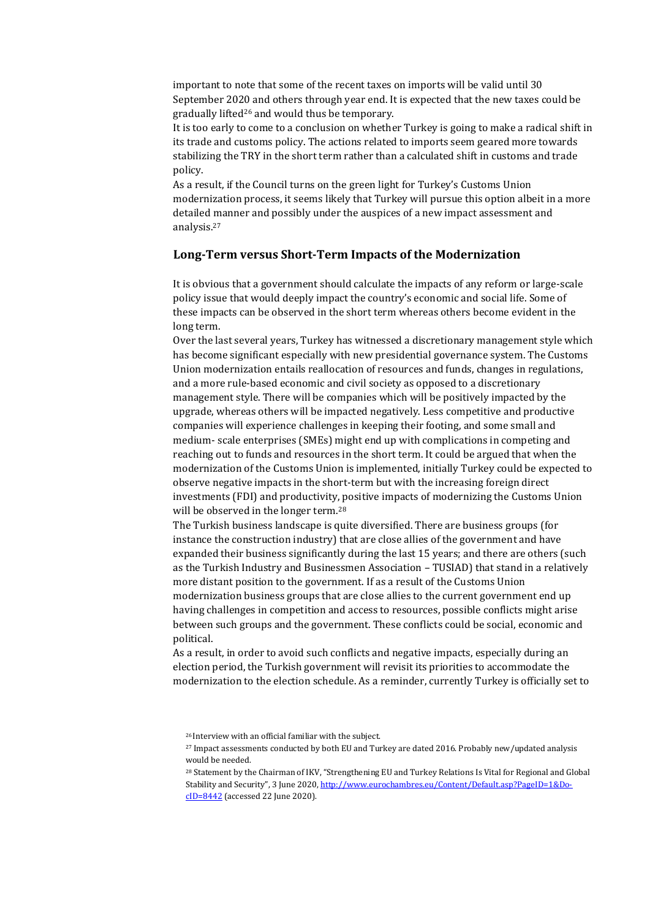important to note that some of the recent taxes on imports will be valid until 30 September 2020 and others through year end. It is expected that the new taxes could be gradually lifted<sup>26</sup> and would thus be temporary.

It is too early to come to a conclusion on whether Turkey is going to make a radical shift in its trade and customs policy. The actions related to imports seem geared more towards stabilizing the TRY in the short term rather than a calculated shift in customs and trade policy.

As a result, if the Council turns on the green light for Turkey's Customs Union modernization process, it seems likely that Turkey will pursue this option albeit in a more detailed manner and possibly under the auspices of a new impact assessment and analysis.<sup>27</sup>

#### **Long-Term versus Short-Term Impacts of the Modernization**

It is obvious that a government should calculate the impacts of any reform or large-scale policy issue that would deeply impact the country's economic and social life. Some of these impacts can be observed in the short term whereas others become evident in the long term.

Over the last several years, Turkey has witnessed a discretionary management style which has become significant especially with new presidential governance system. The Customs Union modernization entails reallocation of resources and funds, changes in regulations, and a more rule-based economic and civil society as opposed to a discretionary management style. There will be companies which will be positively impacted by the upgrade, whereas others will be impacted negatively. Less competitive and productive companies will experience challenges in keeping their footing, and some small and medium- scale enterprises (SMEs) might end up with complications in competing and reaching out to funds and resources in the short term. It could be argued that when the modernization of the Customs Union is implemented, initially Turkey could be expected to observe negative impacts in the short-term but with the increasing foreign direct investments (FDI) and productivity, positive impacts of modernizing the Customs Union will be observed in the longer term.<sup>28</sup>

The Turkish business landscape is quite diversified. There are business groups (for instance the construction industry) that are close allies of the government and have expanded their business significantly during the last 15 years; and there are others (such as the Turkish Industry and Businessmen Association – TUSIAD) that stand in a relatively more distant position to the government. If as a result of the Customs Union modernization business groups that are close allies to the current government end up having challenges in competition and access to resources, possible conflicts might arise between such groups and the government. These conflicts could be social, economic and political.

As a result, in order to avoid such conflicts and negative impacts, especially during an election period, the Turkish government will revisit its priorities to accommodate the modernization to the election schedule. As a reminder, currently Turkey is officially set to

<sup>26</sup> Interview with an official familiar with the subject.

<sup>27</sup> Impact assessments conducted by both EU and Turkey are dated 2016. Probably new/updated analysis would be needed.

<sup>28</sup> Statement by the Chairman of IKV, "Strengthening EU and Turkey Relations Is Vital for Regional and Global Stability and Security", 3 June 2020, [http://www.eurochambres.eu/Content/Default.asp?PageID=1&Do](http://www.eurochambres.eu/Content/Default.asp?PageID=1&DocID=8442)[cID=8442](http://www.eurochambres.eu/Content/Default.asp?PageID=1&DocID=8442) (accessed 22 June 2020).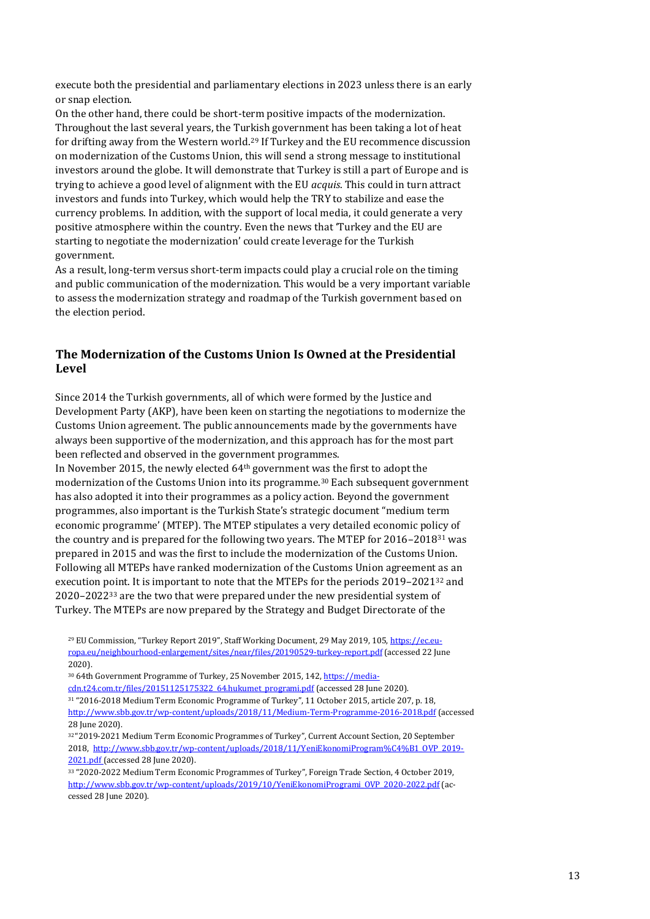execute both the presidential and parliamentary elections in 2023 unless there is an early or snap election.

On the other hand, there could be short-term positive impacts of the modernization. Throughout the last several years, the Turkish government has been taking a lot of heat for drifting away from the Western world.<sup>29</sup> If Turkey and the EU recommence discussion on modernization of the Customs Union, this will send a strong message to institutional investors around the globe. It will demonstrate that Turkey is still a part of Europe and is trying to achieve a good level of alignment with the EU *acquis*. This could in turn attract investors and funds into Turkey, which would help the TRY to stabilize and ease the currency problems. In addition, with the support of local media, it could generate a very positive atmosphere within the country. Even the news that 'Turkey and the EU are starting to negotiate the modernization' could create leverage for the Turkish government.

As a result, long-term versus short-term impacts could play a crucial role on the timing and public communication of the modernization. This would be a very important variable to assess the modernization strategy and roadmap of the Turkish government based on the election period.

## **The Modernization of the Customs Union Is Owned at the Presidential Level**

Since 2014 the Turkish governments, all of which were formed by the Justice and Development Party (AKP), have been keen on starting the negotiations to modernize the Customs Union agreement. The public announcements made by the governments have always been supportive of the modernization, and this approach has for the most part been reflected and observed in the government programmes.

In November 2015, the newly elected 64th government was the first to adopt the modernization of the Customs Union into its programme.<sup>30</sup> Each subsequent government has also adopted it into their programmes as a policy action. Beyond the government programmes, also important is the Turkish State's strategic document "medium term economic programme' (MTEP). The MTEP stipulates a very detailed economic policy of the country and is prepared for the following two years. The MTEP for  $2016-2018^{31}$  was prepared in 2015 and was the first to include the modernization of the Customs Union. Following all MTEPs have ranked modernization of the Customs Union agreement as an execution point. It is important to note that the MTEPs for the periods 2019–2021<sup>32</sup> and 2020–2022<sup>33</sup> are the two that were prepared under the new presidential system of Turkey. The MTEPs are now prepared by the Strategy and Budget Directorate of the

<sup>29</sup> EU Commission, "Turkey Report 2019", Staff Working Document, 29 May 2019, 105, [https://ec.eu](https://ec.europa.eu/neighbourhood-enlargement/sites/near/files/20190529-turkey-report.pdf)[ropa.eu/neighbourhood-enlargement/sites/near/files/20190529-turkey-report.pdf](https://ec.europa.eu/neighbourhood-enlargement/sites/near/files/20190529-turkey-report.pdf) (accessed 22 June 2020).

<sup>&</sup>lt;sup>30</sup> 64th Government Programme of Turkey, 25 November 2015, 142[, https://media-](https://media-cdn.t24.com.tr/files/20151125175322_64.hukumet_programi.pdf)

[cdn.t24.com.tr/files/20151125175322\\_64.hukumet\\_programi.pdf](https://media-cdn.t24.com.tr/files/20151125175322_64.hukumet_programi.pdf) (accessed 28 June 2020).

<sup>31</sup> "2016-2018 Medium Term Economic Programme of Turkey", 11 October 2015, article 207, p. 18, <http://www.sbb.gov.tr/wp-content/uploads/2018/11/Medium-Term-Programme-2016-2018.pdf> (accessed 28 June 2020).

<sup>32</sup> "2019-2021 Medium Term Economic Programmes of Turkey", Current Account Section, 20 September 2018, [http://www.sbb.gov.tr/wp-content/uploads/2018/11/YeniEkonomiProgram%C4%B1\\_OVP\\_2019-](http://www.sbb.gov.tr/wp-content/uploads/2018/11/YeniEkonomiProgramı_OVP_2019-2021.pdf) [2021.pdf](http://www.sbb.gov.tr/wp-content/uploads/2018/11/YeniEkonomiProgramı_OVP_2019-2021.pdf) (accessed 28 June 2020).

<sup>33</sup> "2020-2022 Medium Term Economic Programmes of Turkey", Foreign Trade Section, 4 October 2019, [http://www.sbb.gov.tr/wp-content/uploads/2019/10/YeniEkonomiProgrami\\_OVP\\_2020-2022.pdf](http://www.sbb.gov.tr/wp-content/uploads/2019/10/YeniEkonomiProgrami_OVP_2020-2022.pdf) (accessed 28 June 2020).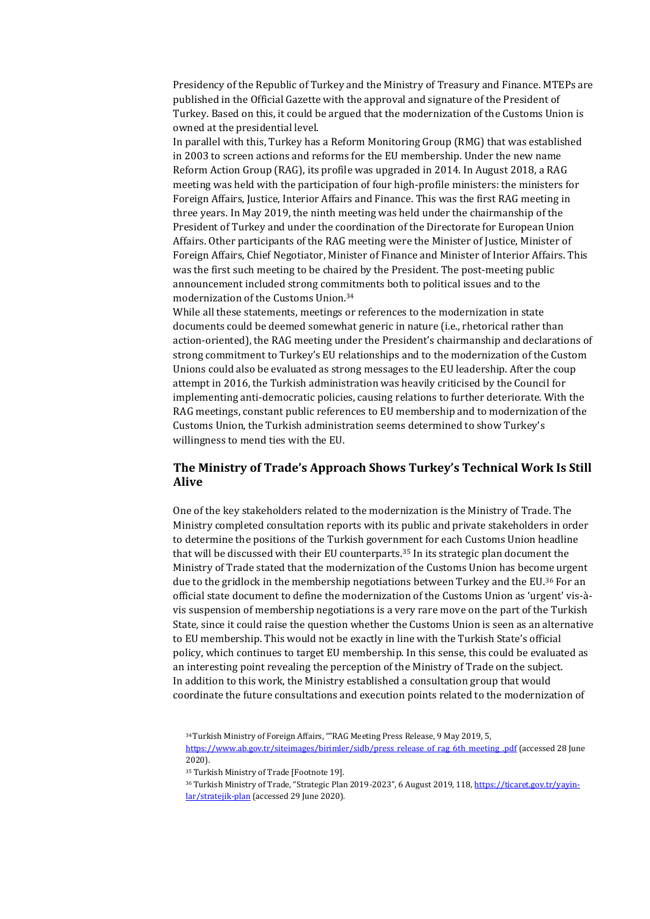Presidency of the Republic of Turkey and the Ministry of Treasury and Finance. MTEPs are published in the Official Gazette with the approval and signature of the President of Turkey. Based on this, it could be argued that the modernization of the Customs Union is owned at the presidential level.

In parallel with this, Turkey has a Reform Monitoring Group (RMG) that was established in 2003 to screen actions and reforms for the EU membership. Under the new name Reform Action Group (RAG), its profile was upgraded in 2014. In August 2018, a RAG meeting was held with the participation of four high-profile ministers: the ministers for Foreign Affairs, Justice, Interior Affairs and Finance. This was the first RAG meeting in three years. In May 2019, the ninth meeting was held under the chairmanship of the President of Turkey and under the coordination of the Directorate for European Union Affairs. Other participants of the RAG meeting were the Minister of Justice, Minister of Foreign Affairs, Chief Negotiator, Minister of Finance and Minister of Interior Affairs. This was the first such meeting to be chaired by the President. The post-meeting public announcement included strong commitments both to political issues and to the modernization of the Customs Union.<sup>34</sup>

While all these statements, meetings or references to the modernization in state documents could be deemed somewhat generic in nature (i.e., rhetorical rather than action-oriented), the RAG meeting under the President's chairmanship and declarations of strong commitment to Turkey's EU relationships and to the modernization of the Custom Unions could also be evaluated as strong messages to the EU leadership. After the coup attempt in 2016, the Turkish administration was heavily criticised by the Council for implementing anti-democratic policies, causing relations to further deteriorate. With the RAG meetings, constant public references to EU membership and to modernization of the Customs Union, the Turkish administration seems determined to show Turkey's willingness to mend ties with the EU.

### **The Ministry of Trade's Approach Shows Turkey's Technical Work Is Still Alive**

One of the key stakeholders related to the modernization is the Ministry of Trade. The Ministry completed consultation reports with its public and private stakeholders in order to determine the positions of the Turkish government for each Customs Union headline that will be discussed with their EU counterparts.<sup>35</sup> In its strategic plan document the Ministry of Trade stated that the modernization of the Customs Union has become urgent due to the gridlock in the membership negotiations between Turkey and the EU.<sup>36</sup> For an official state document to define the modernization of the Customs Union as 'urgent' vis-àvis suspension of membership negotiations is a very rare move on the part of the Turkish State, since it could raise the question whether the Customs Union is seen as an alternative to EU membership. This would not be exactly in line with the Turkish State's official policy, which continues to target EU membership. In this sense, this could be evaluated as an interesting point revealing the perception of the Ministry of Trade on the subject. In addition to this work, the Ministry established a consultation group that would coordinate the future consultations and execution points related to the modernization of

<sup>34</sup>Turkish Ministry of Foreign Affairs, ""RAG Meeting Press Release, 9 May 2019, 5, [https://www.ab.gov.tr/siteimages/birimler/sidb/press\\_release\\_of\\_rag\\_6th\\_meeting\\_.pdf](https://www.ab.gov.tr/siteimages/birimler/sidb/press_release_of_rag_6th_meeting_.pdf) (accessed 28 June 2020).

<sup>35</sup> Turkish Ministry of Trade [Footnote 19].

<sup>36</sup> Turkish Ministry of Trade, "Strategic Plan 2019-2023", 6 August 2019, 118, [https://ticaret.gov.tr/yayin](https://ticaret.gov.tr/yayinlar/stratejik-plan)[lar/stratejik-plan](https://ticaret.gov.tr/yayinlar/stratejik-plan) (accessed 29 June 2020).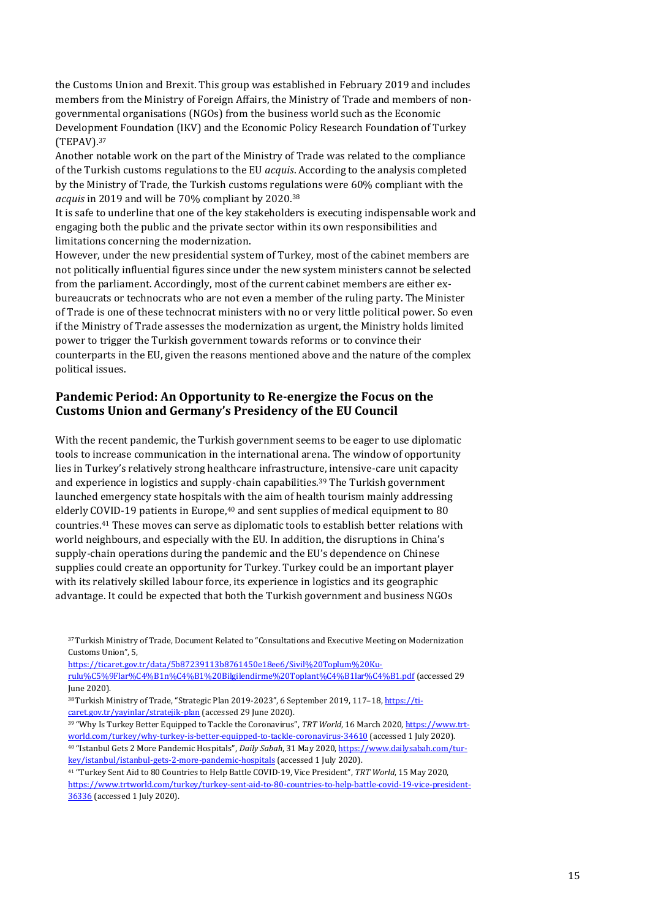the Customs Union and Brexit. This group was established in February 2019 and includes members from the Ministry of Foreign Affairs, the Ministry of Trade and members of nongovernmental organisations (NGOs) from the business world such as the Economic Development Foundation (IKV) and the Economic Policy Research Foundation of Turkey (TEPAV).<sup>37</sup>

Another notable work on the part of the Ministry of Trade was related to the compliance of the Turkish customs regulations to the EU *acquis*. According to the analysis completed by the Ministry of Trade, the Turkish customs regulations were 60% compliant with the *acquis* in 2019 and will be 70% compliant by 2020.<sup>38</sup>

It is safe to underline that one of the key stakeholders is executing indispensable work and engaging both the public and the private sector within its own responsibilities and limitations concerning the modernization.

However, under the new presidential system of Turkey, most of the cabinet members are not politically influential figures since under the new system ministers cannot be selected from the parliament. Accordingly, most of the current cabinet members are either exbureaucrats or technocrats who are not even a member of the ruling party. The Minister of Trade is one of these technocrat ministers with no or very little political power. So even if the Ministry of Trade assesses the modernization as urgent, the Ministry holds limited power to trigger the Turkish government towards reforms or to convince their counterparts in the EU, given the reasons mentioned above and the nature of the complex political issues.

## **Pandemic Period: An Opportunity to Re-energize the Focus on the Customs Union and Germany's Presidency of the EU Council**

With the recent pandemic, the Turkish government seems to be eager to use diplomatic tools to increase communication in the international arena. The window of opportunity lies in Turkey's relatively strong healthcare infrastructure, intensive-care unit capacity and experience in logistics and supply-chain capabilities.<sup>39</sup> The Turkish government launched emergency state hospitals with the aim of health tourism mainly addressing elderly COVID-19 patients in Europe,<sup>40</sup> and sent supplies of medical equipment to 80 countries.<sup>41</sup> These moves can serve as diplomatic tools to establish better relations with world neighbours, and especially with the EU. In addition, the disruptions in China's supply-chain operations during the pandemic and the EU's dependence on Chinese supplies could create an opportunity for Turkey. Turkey could be an important player with its relatively skilled labour force, its experience in logistics and its geographic advantage. It could be expected that both the Turkish government and business NGOs

[https://ticaret.gov.tr/data/5b87239113b8761450e18ee6/Sivil%20Toplum%20Ku-](https://ticaret.gov.tr/data/5b87239113b8761450e18ee6/Sivil%20Toplum%20Kuruluşlarını%20Bilgilendirme%20Toplantıları.pdf)

[rulu%C5%9Flar%C4%B1n%C4%B1%20Bilgilendirme%20Toplant%C4%B1lar%C4%B1.pdf](https://ticaret.gov.tr/data/5b87239113b8761450e18ee6/Sivil%20Toplum%20Kuruluşlarını%20Bilgilendirme%20Toplantıları.pdf) (accessed 29 June 2020).

<sup>38</sup>Turkish Ministry of Trade, "Strategic Plan 2019-2023", 6 September 2019, 117-18[, https://ti](https://ticaret.gov.tr/yayinlar/stratejik-plan)[caret.gov.tr/yayinlar/stratejik-plan](https://ticaret.gov.tr/yayinlar/stratejik-plan) (accessed 29 June 2020).

<sup>39</sup> "Why Is Turkey Better Equipped to Tackle the Coronavirus", *TRT World*, 16 March 2020[, https://www.trt](https://www.trtworld.com/turkey/why-turkey-is-better-equipped-to-tackle-coronavirus-34610)[world.com/turkey/why-turkey-is-better-equipped-to-tackle-coronavirus-34610](https://www.trtworld.com/turkey/why-turkey-is-better-equipped-to-tackle-coronavirus-34610) (accessed 1 July 2020). <sup>40</sup> "Istanbul Gets 2 More Pandemic Hospitals", *Daily Sabah*, 31 May 2020[, https://www.dailysabah.com/tur](https://www.dailysabah.com/turkey/istanbul/istanbul-gets-2-more-pandemic-hospitals)[key/istanbul/istanbul-gets-2-more-pandemic-hospitals](https://www.dailysabah.com/turkey/istanbul/istanbul-gets-2-more-pandemic-hospitals) (accessed 1 July 2020).

<sup>41</sup> "Turkey Sent Aid to 80 Countries to Help Battle COVID-19, Vice President", *TRT World*, 15 May 2020, [https://www.trtworld.com/turkey/turkey-sent-aid-to-80-countries-to-help-battle-covid-19-vice-president-](https://www.trtworld.com/turkey/turkey-sent-aid-to-80-countries-to-help-battle-covid-19-vice-president-36336)[36336](https://www.trtworld.com/turkey/turkey-sent-aid-to-80-countries-to-help-battle-covid-19-vice-president-36336) (accessed 1 July 2020).

<sup>37</sup>Turkish Ministry of Trade, Document Related to "Consultations and Executive Meeting on Modernization Customs Union", 5,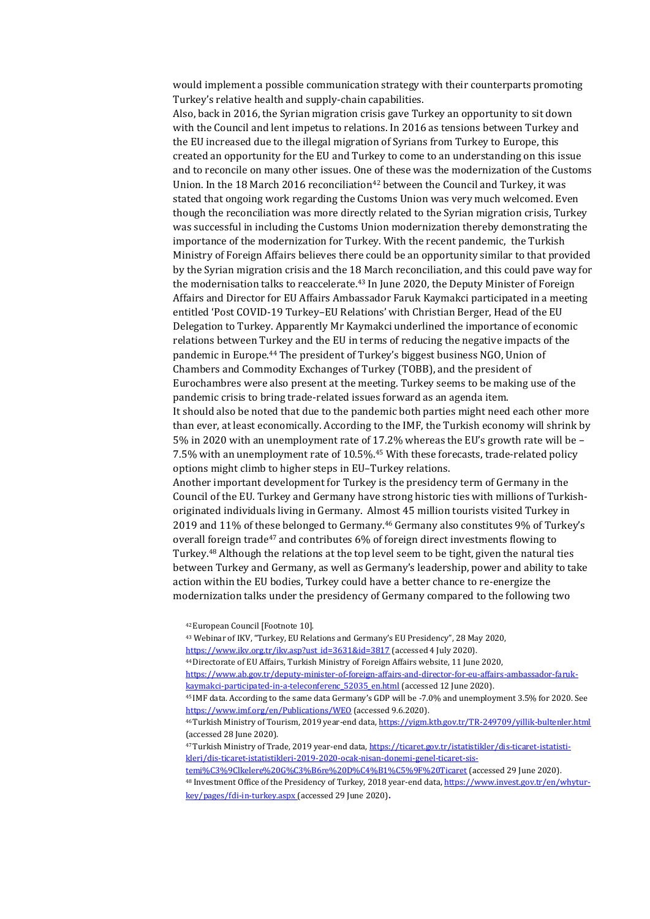would implement a possible communication strategy with their counterparts promoting Turkey's relative health and supply-chain capabilities.

Also, back in 2016, the Syrian migration crisis gave Turkey an opportunity to sit down with the Council and lent impetus to relations. In 2016 as tensions between Turkey and the EU increased due to the illegal migration of Syrians from Turkey to Europe, this created an opportunity for the EU and Turkey to come to an understanding on this issue and to reconcile on many other issues. One of these was the modernization of the Customs Union. In the 18 March 2016 reconciliation<sup>42</sup> between the Council and Turkey, it was stated that ongoing work regarding the Customs Union was very much welcomed. Even though the reconciliation was more directly related to the Syrian migration crisis, Turkey was successful in including the Customs Union modernization thereby demonstrating the importance of the modernization for Turkey. With the recent pandemic, the Turkish Ministry of Foreign Affairs believes there could be an opportunity similar to that provided by the Syrian migration crisis and the 18 March reconciliation, and this could pave way for the modernisation talks to reaccelerate.<sup>43</sup> In June 2020, the Deputy Minister of Foreign Affairs and Director for EU Affairs Ambassador Faruk Kaymakci participated in a meeting entitled 'Post COVID-19 Turkey–EU Relations' with Christian Berger, Head of the EU Delegation to Turkey. Apparently Mr Kaymakci underlined the importance of economic relations between Turkey and the EU in terms of reducing the negative impacts of the pandemic in Europe.<sup>44</sup> The president of Turkey's biggest business NGO, Union of Chambers and Commodity Exchanges of Turkey (TOBB), and the president of Eurochambres were also present at the meeting. Turkey seems to be making use of the pandemic crisis to bring trade-related issues forward as an agenda item. It should also be noted that due to the pandemic both parties might need each other more than ever, at least economically. According to the IMF, the Turkish economy will shrink by 5% in 2020 with an unemployment rate of 17.2% whereas the EU's growth rate will be – 7.5% with an unemployment rate of 10.5%.<sup>45</sup> With these forecasts, trade-related policy options might climb to higher steps in EU–Turkey relations.

Another important development for Turkey is the presidency term of Germany in the Council of the EU. Turkey and Germany have strong historic ties with millions of Turkishoriginated individuals living in Germany. Almost 45 million tourists visited Turkey in 2019 and 11% of these belonged to Germany.<sup>46</sup> Germany also constitutes 9% of Turkey's overall foreign trade<sup>47</sup> and contributes 6% of foreign direct investments flowing to Turkey.<sup>48</sup> Although the relations at the top level seem to be tight, given the natural ties between Turkey and Germany, as well as Germany's leadership, power and ability to take action within the EU bodies, Turkey could have a better chance to re-energize the modernization talks under the presidency of Germany compared to the following two

<sup>42</sup>European Council [Footnote 10].

<sup>43</sup> Webinar of IKV, "Turkey, EU Relations and Germany's EU Presidency", 28 May 2020, [https://www.ikv.org.tr/ikv.asp?ust\\_id=3631&id=3817](https://www.ikv.org.tr/ikv.asp?ust_id=3631&id=3817) (accessed 4 July 2020).

<sup>44</sup>Directorate of EU Affairs, Turkish Ministry of Foreign Affairs website, 11 June 2020,

[https://www.ab.gov.tr/deputy-minister-of-foreign-affairs-and-director-for-eu-affairs-ambassador-faruk](https://www.ab.gov.tr/deputy-minister-of-foreign-affairs-and-director-for-eu-affairs-ambassador-faruk-kaymakci-participated-in-a-teleconferenc_52035_en.html)kaymakci-participated-in-a-teleconferenc 52035 en.html (accessed 12 June 2020).

<sup>45</sup> IMF data. According to the same data Germany's GDP will be -7.0% and unemployment 3.5% for 2020. See <https://www.imf.org/en/Publications/WEO> (accessed 9.6.2020).

[temi%C3%9Clkelere%20G%C3%B6re%20D%C4%B1%C5%9F%20Ticaret](https://ticaret.gov.tr/istatistikler/dis-ticaret-istatistikleri/dis-ticaret-istatistikleri-2019-2020-ocak-nisan-donemi-genel-ticaret-sistemiÜlkelere%20Göre%20Dış%20Ticaret) (accessed 29 June 2020).

<sup>46</sup> Turkish Ministry of Tourism, 2019 year-end data[, https://yigm.ktb.gov.tr/TR-249709/yillik-bultenler.html](https://yigm.ktb.gov.tr/TR-249709/yillik-bultenler.html) (accessed 28 June 2020).

<sup>47</sup> Turkish Ministry of Trade, 2019 year-end data[, https://ticaret.gov.tr/istatistikler/dis-ticaret-istatisti](https://ticaret.gov.tr/istatistikler/dis-ticaret-istatistikleri/dis-ticaret-istatistikleri-2019-2020-ocak-nisan-donemi-genel-ticaret-sistemiÜlkelere%20Göre%20Dış%20Ticaret)[kleri/dis-ticaret-istatistikleri-2019-2020-ocak-nisan-donemi-genel-ticaret-sis-](https://ticaret.gov.tr/istatistikler/dis-ticaret-istatistikleri/dis-ticaret-istatistikleri-2019-2020-ocak-nisan-donemi-genel-ticaret-sistemiÜlkelere%20Göre%20Dış%20Ticaret)

<sup>48</sup> Investment Office of the Presidency of Turkey, 2018 year-end data[, https://www.invest.gov.tr/en/whytur](https://www.invest.gov.tr/en/whyturkey/pages/fdi-in-turkey.aspx)[key/pages/fdi-in-turkey.aspx](https://www.invest.gov.tr/en/whyturkey/pages/fdi-in-turkey.aspx) (accessed 29 June 2020).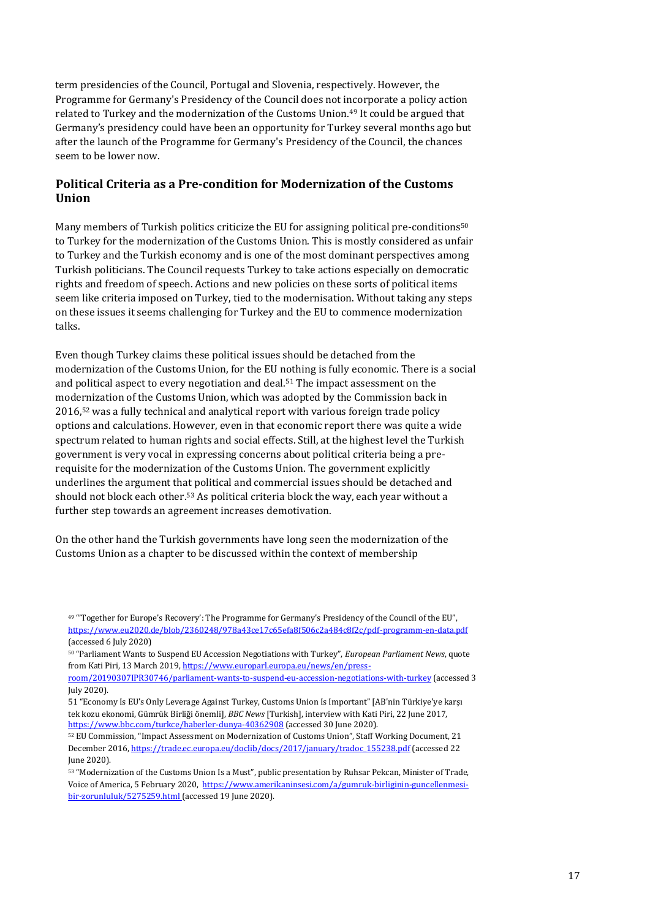term presidencies of the Council, Portugal and Slovenia, respectively. However, the Programme for Germany's Presidency of the Council does not incorporate a policy action related to Turkey and the modernization of the Customs Union.<sup>49</sup> It could be argued that Germany's presidency could have been an opportunity for Turkey several months ago but after the launch of the Programme for Germany's Presidency of the Council, the chances seem to be lower now.

## **Political Criteria as a Pre-condition for Modernization of the Customs Union**

Many members of Turkish politics criticize the EU for assigning political pre-conditions<sup>50</sup> to Turkey for the modernization of the Customs Union. This is mostly considered as unfair to Turkey and the Turkish economy and is one of the most dominant perspectives among Turkish politicians. The Council requests Turkey to take actions especially on democratic rights and freedom of speech. Actions and new policies on these sorts of political items seem like criteria imposed on Turkey, tied to the modernisation. Without taking any steps on these issues it seems challenging for Turkey and the EU to commence modernization talks.

Even though Turkey claims these political issues should be detached from the modernization of the Customs Union, for the EU nothing is fully economic. There is a social and political aspect to every negotiation and deal.<sup>51</sup> The impact assessment on the modernization of the Customs Union, which was adopted by the Commission back in 2016,<sup>52</sup> was a fully technical and analytical report with various foreign trade policy options and calculations. However, even in that economic report there was quite a wide spectrum related to human rights and social effects. Still, at the highest level the Turkish government is very vocal in expressing concerns about political criteria being a prerequisite for the modernization of the Customs Union. The government explicitly underlines the argument that political and commercial issues should be detached and should not block each other.<sup>53</sup> As political criteria block the way, each year without a further step towards an agreement increases demotivation.

On the other hand the Turkish governments have long seen the modernization of the Customs Union as a chapter to be discussed within the context of membership

<sup>49</sup> "'Together for Europe's Recovery': The Programme for Germany's Presidency of the Council of the EU", <https://www.eu2020.de/blob/2360248/978a43ce17c65efa8f506c2a484c8f2c/pdf-programm-en-data.pdf> (accessed 6 July 2020)

<sup>50</sup> "Parliament Wants to Suspend EU Accession Negotiations with Turkey", *European Parliament News*, quote from Kati Piri, 13 March 2019[, https://www.europarl.europa.eu/news/en/press-](https://www.europarl.europa.eu/news/en/press-room/20190307IPR30746/parliament-wants-to-suspend-eu-accession-negotiations-with-turkey)

[room/20190307IPR30746/parliament-wants-to-suspend-eu-accession-negotiations-with-turkey](https://www.europarl.europa.eu/news/en/press-room/20190307IPR30746/parliament-wants-to-suspend-eu-accession-negotiations-with-turkey) (accessed 3 July 2020).

<sup>51</sup> "Economy Is EU's Only Leverage Against Turkey, Customs Union Is Important" [AB'nin Türkiye'ye karşı tek kozu ekonomi, Gümrük Birliği önemli], *BBC News* [Turkish], interview with Kati Piri, 22 June 2017, <https://www.bbc.com/turkce/haberler-dunya-40362908> (accessed 30 June 2020).

<sup>52</sup> EU Commission, "Impact Assessment on Modernization of Customs Union", Staff Working Document, 21 December 2016[, https://trade.ec.europa.eu/doclib/docs/2017/january/tradoc\\_155238.pdf](https://trade.ec.europa.eu/doclib/docs/2017/january/tradoc_155238.pdf) (accessed 22 June 2020).

<sup>53</sup> "Modernization of the Customs Union Is a Must", public presentation by Ruhsar Pekcan, Minister of Trade, Voice of America, 5 February 2020, [https://www.amerikaninsesi.com/a/gumruk-birliginin-guncellenmesi](https://www.amerikaninsesi.com/a/gumruk-birliginin-guncellenmesi-bir-zorunluluk/5275259.html)[bir-zorunluluk/5275259.html](https://www.amerikaninsesi.com/a/gumruk-birliginin-guncellenmesi-bir-zorunluluk/5275259.html) (accessed 19 June 2020).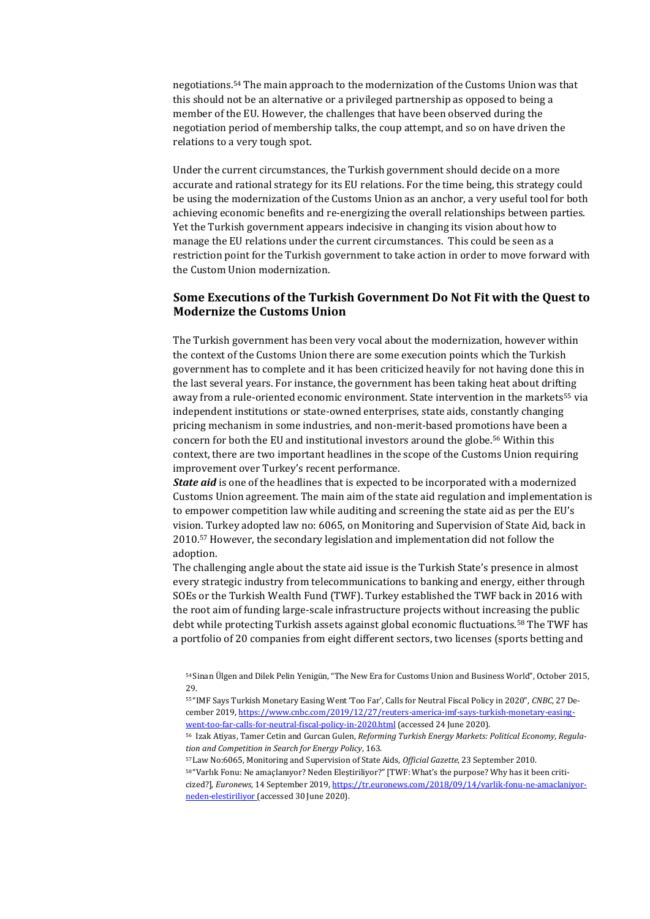negotiations.<sup>54</sup> The main approach to the modernization of the Customs Union was that this should not be an alternative or a privileged partnership as opposed to being a member of the EU. However, the challenges that have been observed during the negotiation period of membership talks, the coup attempt, and so on have driven the relations to a very tough spot.

Under the current circumstances, the Turkish government should decide on a more accurate and rational strategy for its EU relations. For the time being, this strategy could be using the modernization of the Customs Union as an anchor, a very useful tool for both achieving economic benefits and re-energizing the overall relationships between parties. Yet the Turkish government appears indecisive in changing its vision about how to manage the EU relations under the current circumstances. This could be seen as a restriction point for the Turkish government to take action in order to move forward with the Custom Union modernization.

### **Some Executions of the Turkish Government Do Not Fit with the Quest to Modernize the Customs Union**

The Turkish government has been very vocal about the modernization, however within the context of the Customs Union there are some execution points which the Turkish government has to complete and it has been criticized heavily for not having done this in the last several years. For instance, the government has been taking heat about drifting away from a rule-oriented economic environment. State intervention in the markets<sup>55</sup> via independent institutions or state-owned enterprises, state aids, constantly changing pricing mechanism in some industries, and non-merit-based promotions have been a concern for both the EU and institutional investors around the globe.<sup>56</sup> Within this context, there are two important headlines in the scope of the Customs Union requiring improvement over Turkey's recent performance.

*State aid* is one of the headlines that is expected to be incorporated with a modernized Customs Union agreement. The main aim of the state aid regulation and implementation is to empower competition law while auditing and screening the state aid as per the EU's vision. Turkey adopted law no: 6065, on Monitoring and Supervision of State Aid, back in 2010.<sup>57</sup> However, the secondary legislation and implementation did not follow the adoption.

The challenging angle about the state aid issue is the Turkish State's presence in almost every strategic industry from telecommunications to banking and energy, either through SOEs or the Turkish Wealth Fund (TWF). Turkey established the TWF back in 2016 with the root aim of funding large-scale infrastructure projects without increasing the public debt while protecting Turkish assets against global economic fluctuations.<sup>58</sup> The TWF has a portfolio of 20 companies from eight different sectors, two licenses (sports betting and

<sup>57</sup> Law No:6065, Monitoring and Supervision of State Aids, *Official Gazette*, 23 September 2010.

<sup>54</sup> Sinan Ülgen and Dilek Pelin Yenigün, "The New Era for Customs Union and Business World", October 2015, 29.

<sup>55</sup> "IMF Says Turkish Monetary Easing Went 'Too Far', Calls for Neutral Fiscal Policy in 2020", *CNBC*, 27 December 2019[, https://www.cnbc.com/2019/12/27/reuters-america-imf-says-turkish-monetary-easing](https://www.cnbc.com/2019/12/27/reuters-america-imf-says-turkish-monetary-easing-went-too-far-calls-for-neutral-fiscal-policy-in-2020.html)[went-too-far-calls-for-neutral-fiscal-policy-in-2020.html](https://www.cnbc.com/2019/12/27/reuters-america-imf-says-turkish-monetary-easing-went-too-far-calls-for-neutral-fiscal-policy-in-2020.html) (accessed 24 June 2020).

<sup>56</sup> Izak Atiyas, Tamer Cetin and Gurcan Gulen, *Reforming Turkish Energy Markets: Political Economy, Regulation and Competition in Search for Energy Policy*, 163.

<sup>58</sup> "Varlık Fonu: Ne amaçlanıyor? Neden Eleştiriliyor?" [TWF: What's the purpose? Why has it been criticized?], *Euronews*, 14 September 2019[, https://tr.euronews.com/2018/09/14/varlik-fonu-ne-amaclaniyor](https://tr.euronews.com/2018/09/14/varlik-fonu-ne-amaclaniyor-neden-elestiriliyor)[neden-elestiriliyor](https://tr.euronews.com/2018/09/14/varlik-fonu-ne-amaclaniyor-neden-elestiriliyor) (accessed 30 June 2020).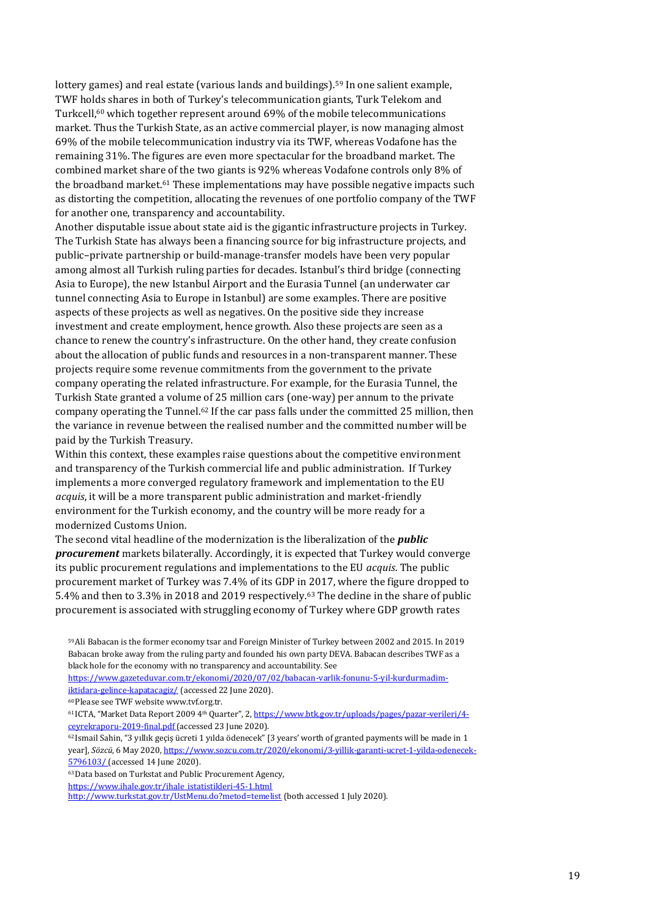lottery games) and real estate (various lands and buildings).<sup>59</sup> In one salient example, TWF holds shares in both of Turkey's telecommunication giants, Turk Telekom and Turkcell,<sup>60</sup> which together represent around 69% of the mobile telecommunications market. Thus the Turkish State, as an active commercial player, is now managing almost 69% of the mobile telecommunication industry via its TWF, whereas Vodafone has the remaining 31%. The figures are even more spectacular for the broadband market. The combined market share of the two giants is 92% whereas Vodafone controls only 8% of the broadband market.<sup>61</sup> These implementations may have possible negative impacts such as distorting the competition, allocating the revenues of one portfolio company of the TWF for another one, transparency and accountability.

Another disputable issue about state aid is the gigantic infrastructure projects in Turkey. The Turkish State has always been a financing source for big infrastructure projects, and public–private partnership or build-manage-transfer models have been very popular among almost all Turkish ruling parties for decades. Istanbul's third bridge (connecting Asia to Europe), the new Istanbul Airport and the Eurasia Tunnel (an underwater car tunnel connecting Asia to Europe in Istanbul) are some examples. There are positive aspects of these projects as well as negatives. On the positive side they increase investment and create employment, hence growth. Also these projects are seen as a chance to renew the country's infrastructure. On the other hand, they create confusion about the allocation of public funds and resources in a non-transparent manner. These projects require some revenue commitments from the government to the private company operating the related infrastructure. For example, for the Eurasia Tunnel, the Turkish State granted a volume of 25 million cars (one-way) per annum to the private company operating the Tunnel.<sup>62</sup> If the car pass falls under the committed 25 million, then the variance in revenue between the realised number and the committed number will be paid by the Turkish Treasury.

Within this context, these examples raise questions about the competitive environment and transparency of the Turkish commercial life and public administration. If Turkey implements a more converged regulatory framework and implementation to the EU *acquis*, it will be a more transparent public administration and market-friendly environment for the Turkish economy, and the country will be more ready for a modernized Customs Union.

The second vital headline of the modernization is the liberalization of the *public procurement* markets bilaterally. Accordingly, it is expected that Turkey would converge its public procurement regulations and implementations to the EU *acquis*. The public procurement market of Turkey was 7.4% of its GDP in 2017, where the figure dropped to 5.4% and then to 3.3% in 2018 and 2019 respectively.<sup>63</sup> The decline in the share of public procurement is associated with struggling economy of Turkey where GDP growth rates

<sup>62</sup> Ismail Sahin, "3 yıllık geçiş ücreti 1 yılda ödenecek" [3 years' worth of granted payments will be made in 1 year], *Sözcü*, 6 May 2020[, https://www.sozcu.com.tr/2020/ekonomi/3-yillik-garanti-ucret-1-yilda-odenecek-](https://www.sozcu.com.tr/2020/ekonomi/3-yillik-garanti-ucret-1-yilda-odenecek-5796103/)[5796103/](https://www.sozcu.com.tr/2020/ekonomi/3-yillik-garanti-ucret-1-yilda-odenecek-5796103/) (accessed 14 June 2020).

<sup>63</sup>Data based on Turkstat and Public Procurement Agency,

[https://www.ihale.gov.tr/ihale\\_istatistikleri-45-1.html](https://www.ihale.gov.tr/ihale_istatistikleri-45-1.html)

<http://www.turkstat.gov.tr/UstMenu.do?metod=temelist> (both accessed 1 July 2020).

<sup>59</sup>Ali Babacan is the former economy tsar and Foreign Minister of Turkey between 2002 and 2015. In 2019 Babacan broke away from the ruling party and founded his own party DEVA. Babacan describes TWF as a black hole for the economy with no transparency and accountability. See

[https://www.gazeteduvar.com.tr/ekonomi/2020/07/02/babacan-varlik-fonunu-5-yil-kurdurmadim](https://www.gazeteduvar.com.tr/ekonomi/2020/07/02/babacan-varlik-fonunu-5-yil-kurdurmadim-iktidara-gelince-kapatacagiz/)[iktidara-gelince-kapatacagiz/](https://www.gazeteduvar.com.tr/ekonomi/2020/07/02/babacan-varlik-fonunu-5-yil-kurdurmadim-iktidara-gelince-kapatacagiz/) (accessed 22 June 2020).

<sup>60</sup>Please see TWF websit[e www.tvf.org.tr.](http://www.tvf.org.tr/)

<sup>61</sup> ICTA, "Market Data Report 2009 4th Quarter", 2, [https://www.btk.gov.tr/uploads/pages/pazar-verileri/4](https://www.btk.gov.tr/uploads/pages/pazar-verileri/4-ceyrekraporu-2019-final.pdf) [ceyrekraporu-2019-final.pdf](https://www.btk.gov.tr/uploads/pages/pazar-verileri/4-ceyrekraporu-2019-final.pdf) (accessed 23 June 2020).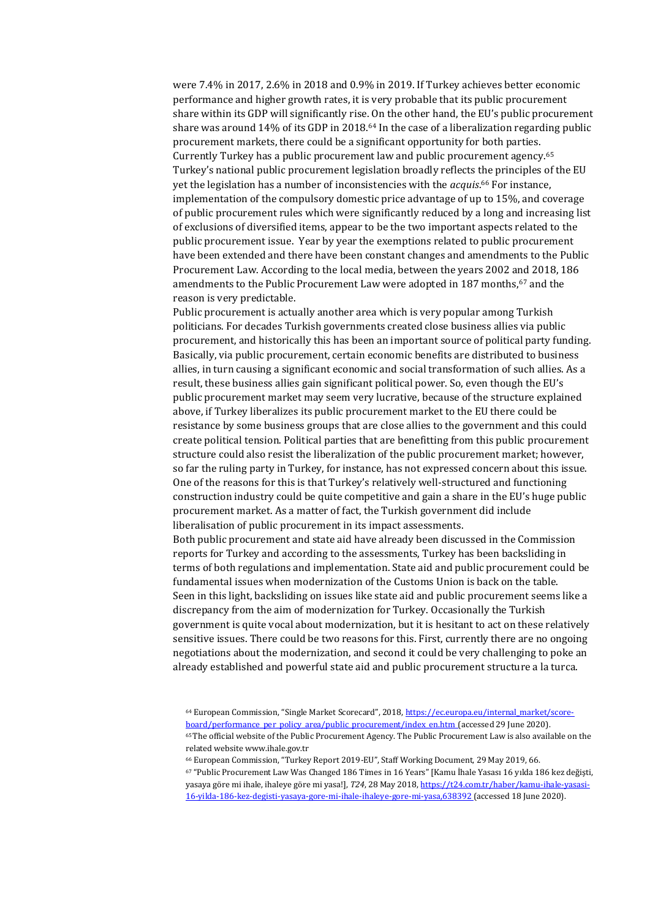were 7.4% in 2017, 2.6% in 2018 and 0.9% in 2019. If Turkey achieves better economic performance and higher growth rates, it is very probable that its public procurement share within its GDP will significantly rise. On the other hand, the EU's public procurement share was around 14% of its GDP in 2018.<sup>64</sup> In the case of a liberalization regarding public procurement markets, there could be a significant opportunity for both parties. Currently Turkey has a public procurement law and public procurement agency.<sup>65</sup> Turkey's national public procurement legislation broadly reflects the principles of the EU yet the legislation has a number of inconsistencies with the *acquis*. <sup>66</sup> For instance, implementation of the compulsory domestic price advantage of up to 15%, and coverage of public procurement rules which were significantly reduced by a long and increasing list of exclusions of diversified items, appear to be the two important aspects related to the public procurement issue. Year by year the exemptions related to public procurement have been extended and there have been constant changes and amendments to the Public Procurement Law. According to the local media, between the years 2002 and 2018, 186 amendments to the Public Procurement Law were adopted in 187 months,<sup>67</sup> and the reason is very predictable.

Public procurement is actually another area which is very popular among Turkish politicians. For decades Turkish governments created close business allies via public procurement, and historically this has been an important source of political party funding. Basically, via public procurement, certain economic benefits are distributed to business allies, in turn causing a significant economic and social transformation of such allies. As a result, these business allies gain significant political power. So, even though the EU's public procurement market may seem very lucrative, because of the structure explained above, if Turkey liberalizes its public procurement market to the EU there could be resistance by some business groups that are close allies to the government and this could create political tension. Political parties that are benefitting from this public procurement structure could also resist the liberalization of the public procurement market; however, so far the ruling party in Turkey, for instance, has not expressed concern about this issue. One of the reasons for this is that Turkey's relatively well-structured and functioning construction industry could be quite competitive and gain a share in the EU's huge public procurement market. As a matter of fact, the Turkish government did include liberalisation of public procurement in its impact assessments.

Both public procurement and state aid have already been discussed in the Commission reports for Turkey and according to the assessments, Turkey has been backsliding in terms of both regulations and implementation. State aid and public procurement could be fundamental issues when modernization of the Customs Union is back on the table. Seen in this light, backsliding on issues like state aid and public procurement seems like a discrepancy from the aim of modernization for Turkey. Occasionally the Turkish government is quite vocal about modernization, but it is hesitant to act on these relatively sensitive issues. There could be two reasons for this. First, currently there are no ongoing negotiations about the modernization, and second it could be very challenging to poke an already established and powerful state aid and public procurement structure a la turca.

<sup>64</sup> European Commission, "Single Market Scorecard", 2018, [https://ec.europa.eu/internal\\_market/score](https://ec.europa.eu/internal_market/scoreboard/performance_per_policy_area/public_procurement/index_en.htm)[board/performance\\_per\\_policy\\_area/public\\_procurement/index\\_en.htm](https://ec.europa.eu/internal_market/scoreboard/performance_per_policy_area/public_procurement/index_en.htm) (accessed 29 June 2020).

<sup>65</sup>The official website of the Public Procurement Agency. The Public Procurement Law is also available on the related websit[e www.ihale.gov.tr](http://www.ihale.gov.tr/)

<sup>66</sup> European Commission, "Turkey Report 2019-EU", Staff Working Document, 29 May 2019, 66.

<sup>67</sup> "Public Procurement Law Was Changed 186 Times in 16 Years" [Kamu İhale Yasası 16 yılda 186 kez değişti, yasaya göre mi ihale, ihaleye göre mi yasa!], *T24*, 28 May 2018[, https://t24.com.tr/haber/kamu-ihale-yasasi-](https://t24.com.tr/haber/kamu-ihale-yasasi-16-yilda-186-kez-degisti-yasaya-gore-mi-ihale-ihaleye-gore-mi-yasa,638392)[16-yilda-186-kez-degisti-yasaya-gore-mi-ihale-ihaleye-gore-mi-yasa,638392](https://t24.com.tr/haber/kamu-ihale-yasasi-16-yilda-186-kez-degisti-yasaya-gore-mi-ihale-ihaleye-gore-mi-yasa,638392) (accessed 18 June 2020).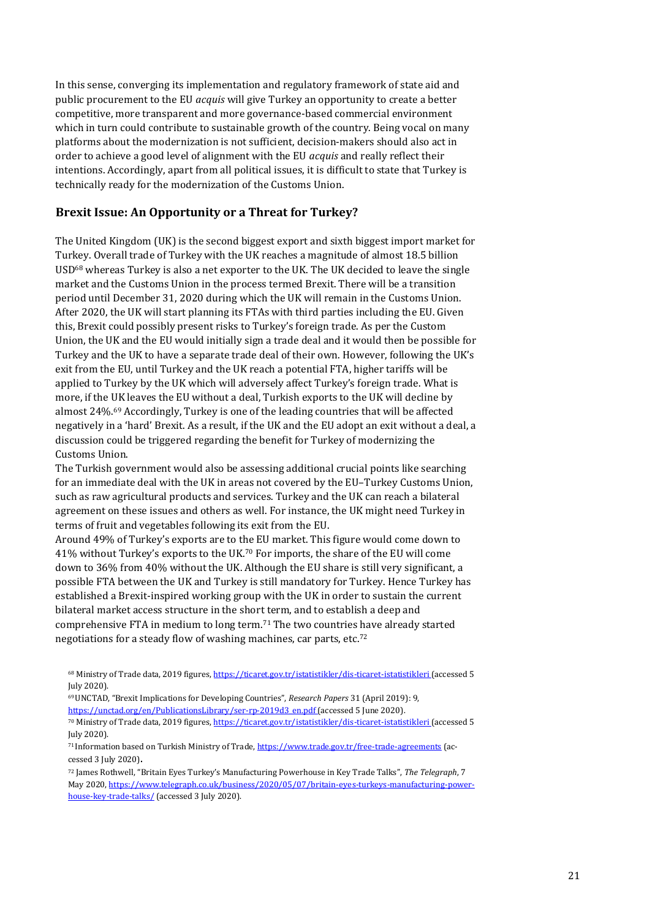In this sense, converging its implementation and regulatory framework of state aid and public procurement to the EU *acquis* will give Turkey an opportunity to create a better competitive, more transparent and more governance-based commercial environment which in turn could contribute to sustainable growth of the country. Being vocal on many platforms about the modernization is not sufficient, decision-makers should also act in order to achieve a good level of alignment with the EU *acquis* and really reflect their intentions. Accordingly, apart from all political issues, it is difficult to state that Turkey is technically ready for the modernization of the Customs Union.

### **Brexit Issue: An Opportunity or a Threat for Turkey?**

The United Kingdom (UK) is the second biggest export and sixth biggest import market for Turkey. Overall trade of Turkey with the UK reaches a magnitude of almost 18.5 billion  $\text{USD}^{68}$  whereas Turkey is also a net exporter to the UK. The UK decided to leave the single market and the Customs Union in the process termed Brexit. There will be a transition period until December 31, 2020 during which the UK will remain in the Customs Union. After 2020, the UK will start planning its FTAs with third parties including the EU. Given this, Brexit could possibly present risks to Turkey's foreign trade. As per the Custom Union, the UK and the EU would initially sign a trade deal and it would then be possible for Turkey and the UK to have a separate trade deal of their own. However, following the UK's exit from the EU, until Turkey and the UK reach a potential FTA, higher tariffs will be applied to Turkey by the UK which will adversely affect Turkey's foreign trade. What is more, if the UK leaves the EU without a deal, Turkish exports to the UK will decline by almost 24%.<sup>69</sup> Accordingly, Turkey is one of the leading countries that will be affected negatively in a 'hard' Brexit. As a result, if the UK and the EU adopt an exit without a deal, a discussion could be triggered regarding the benefit for Turkey of modernizing the Customs Union.

The Turkish government would also be assessing additional crucial points like searching for an immediate deal with the UK in areas not covered by the EU–Turkey Customs Union, such as raw agricultural products and services. Turkey and the UK can reach a bilateral agreement on these issues and others as well. For instance, the UK might need Turkey in terms of fruit and vegetables following its exit from the EU.

Around 49% of Turkey's exports are to the EU market. This figure would come down to 41% without Turkey's exports to the UK.<sup>70</sup> For imports, the share of the EU will come down to 36% from 40% without the UK. Although the EU share is still very significant, a possible FTA between the UK and Turkey is still mandatory for Turkey. Hence Turkey has established a Brexit-inspired working group with the UK in order to sustain the current bilateral market access structure in the short term, and to establish a deep and comprehensive FTA in medium to long term.<sup>71</sup> The two countries have already started negotiations for a steady flow of washing machines, car parts, etc.<sup>72</sup>

<sup>68</sup> Ministry of Trade data, 2019 figures,<https://ticaret.gov.tr/istatistikler/dis-ticaret-istatistikleri> (accessed 5 July 2020).

<sup>69</sup>UNCTAD, "Brexit Implications for Developing Countries", *Research Papers* 31 (April 2019): 9, [https://unctad.org/en/PublicationsLibrary/ser-rp-2019d3\\_en.pdf](https://unctad.org/en/PublicationsLibrary/ser-rp-2019d3_en.pdf) (accessed 5 June 2020). 70 Ministry of Trade data, 2019 figures,<https://ticaret.gov.tr/istatistikler/dis-ticaret-istatistikleri> (accessed 5 July 2020).

<sup>71</sup> Information based on Turkish Ministry of Trade[, https://www.trade.gov.tr/free-trade-agreements](https://www.trade.gov.tr/free-trade-agreements) (accessed 3 July 2020).

<sup>72</sup> James Rothwell, "Britain Eyes Turkey's Manufacturing Powerhouse in Key Trade Talks", *The Telegraph*, 7 May 2020[, https://www.telegraph.co.uk/business/2020/05/07/britain-eyes-turkeys-manufacturing-power](https://www.telegraph.co.uk/business/2020/05/07/britain-eyes-turkeys-manufacturing-powerhouse-key-trade-talks/)[house-key-trade-talks/](https://www.telegraph.co.uk/business/2020/05/07/britain-eyes-turkeys-manufacturing-powerhouse-key-trade-talks/) (accessed 3 July 2020).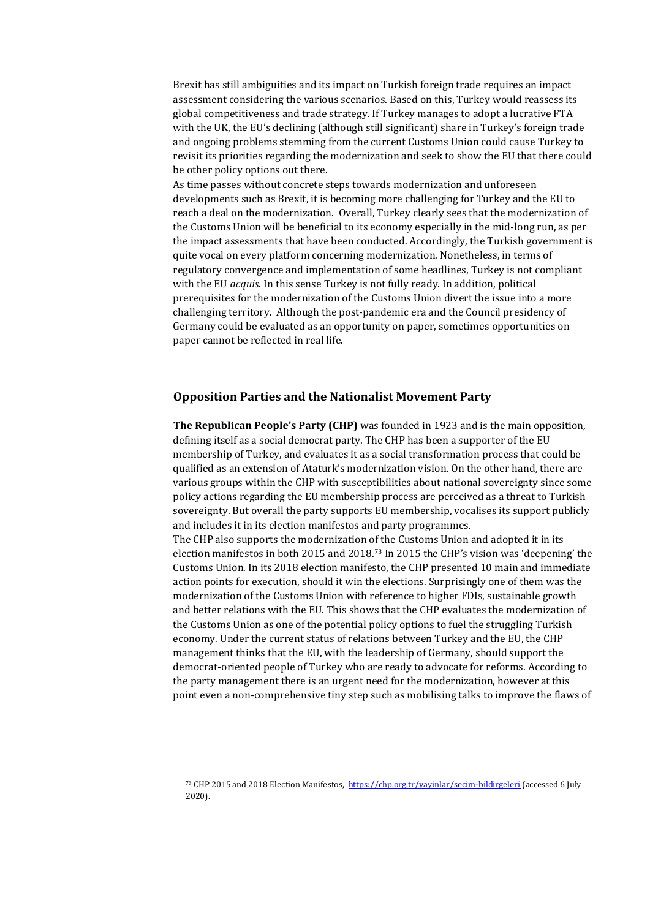Brexit has still ambiguities and its impact on Turkish foreign trade requires an impact assessment considering the various scenarios. Based on this, Turkey would reassess its global competitiveness and trade strategy. If Turkey manages to adopt a lucrative FTA with the UK, the EU's declining (although still significant) share in Turkey's foreign trade and ongoing problems stemming from the current Customs Union could cause Turkey to revisit its priorities regarding the modernization and seek to show the EU that there could be other policy options out there.

As time passes without concrete steps towards modernization and unforeseen developments such as Brexit, it is becoming more challenging for Turkey and the EU to reach a deal on the modernization. Overall, Turkey clearly sees that the modernization of the Customs Union will be beneficial to its economy especially in the mid-long run, as per the impact assessments that have been conducted. Accordingly, the Turkish government is quite vocal on every platform concerning modernization. Nonetheless, in terms of regulatory convergence and implementation of some headlines, Turkey is not compliant with the EU *acquis*. In this sense Turkey is not fully ready. In addition, political prerequisites for the modernization of the Customs Union divert the issue into a more challenging territory. Although the post-pandemic era and the Council presidency of Germany could be evaluated as an opportunity on paper, sometimes opportunities on paper cannot be reflected in real life.

#### <span id="page-21-0"></span>**Opposition Parties and the Nationalist Movement Party**

**The Republican People's Party (CHP)** was founded in 1923 and is the main opposition, defining itself as a social democrat party. The CHP has been a supporter of the EU membership of Turkey, and evaluates it as a social transformation process that could be qualified as an extension of Ataturk's modernization vision. On the other hand, there are various groups within the CHP with susceptibilities about national sovereignty since some policy actions regarding the EU membership process are perceived as a threat to Turkish sovereignty. But overall the party supports EU membership, vocalises its support publicly and includes it in its election manifestos and party programmes.

The CHP also supports the modernization of the Customs Union and adopted it in its election manifestos in both 2015 and 2018.<sup>73</sup> In 2015 the CHP's vision was 'deepening' the Customs Union. In its 2018 election manifesto, the CHP presented 10 main and immediate action points for execution, should it win the elections. Surprisingly one of them was the modernization of the Customs Union with reference to higher FDIs, sustainable growth and better relations with the EU. This shows that the CHP evaluates the modernization of the Customs Union as one of the potential policy options to fuel the struggling Turkish economy. Under the current status of relations between Turkey and the EU, the CHP management thinks that the EU, with the leadership of Germany, should support the democrat-oriented people of Turkey who are ready to advocate for reforms. According to the party management there is an urgent need for the modernization, however at this point even a non-comprehensive tiny step such as mobilising talks to improve the flaws of

<sup>73</sup> CHP 2015 and 2018 Election Manifestos,<https://chp.org.tr/yayinlar/secim-bildirgeleri> (accessed 6 July 2020).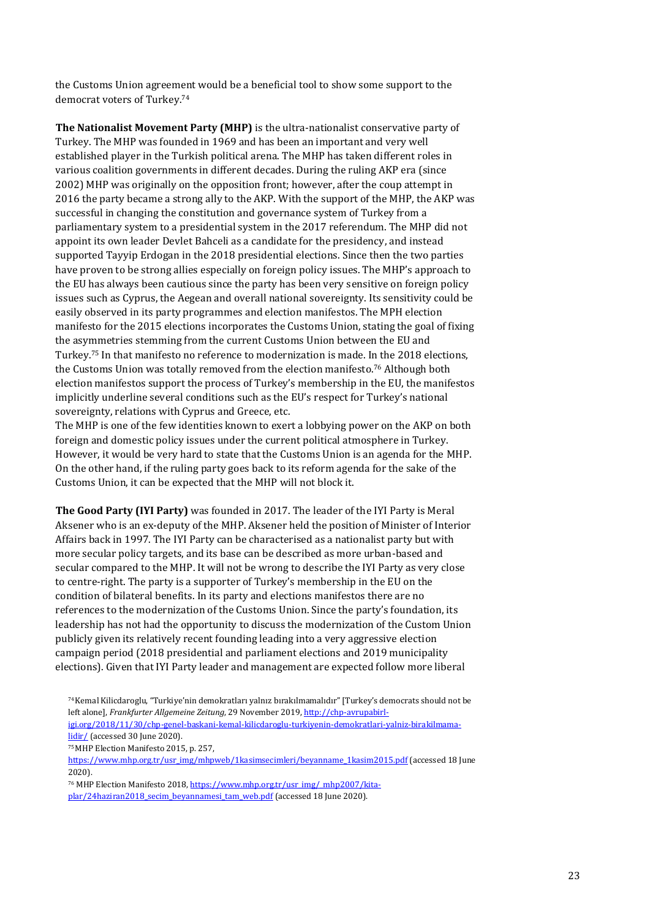the Customs Union agreement would be a beneficial tool to show some support to the democrat voters of Turkey.<sup>74</sup>

**The Nationalist Movement Party (MHP)** is the ultra-nationalist conservative party of Turkey. The MHP was founded in 1969 and has been an important and very well established player in the Turkish political arena. The MHP has taken different roles in various coalition governments in different decades. During the ruling AKP era (since 2002) MHP was originally on the opposition front; however, after the coup attempt in 2016 the party became a strong ally to the AKP. With the support of the MHP, the AKP was successful in changing the constitution and governance system of Turkey from a parliamentary system to a presidential system in the 2017 referendum. The MHP did not appoint its own leader Devlet Bahceli as a candidate for the presidency, and instead supported Tayyip Erdogan in the 2018 presidential elections. Since then the two parties have proven to be strong allies especially on foreign policy issues. The MHP's approach to the EU has always been cautious since the party has been very sensitive on foreign policy issues such as Cyprus, the Aegean and overall national sovereignty. Its sensitivity could be easily observed in its party programmes and election manifestos. The MPH election manifesto for the 2015 elections incorporates the Customs Union, stating the goal of fixing the asymmetries stemming from the current Customs Union between the EU and Turkey.<sup>75</sup> In that manifesto no reference to modernization is made. In the 2018 elections, the Customs Union was totally removed from the election manifesto.<sup>76</sup> Although both election manifestos support the process of Turkey's membership in the EU, the manifestos implicitly underline several conditions such as the EU's respect for Turkey's national sovereignty, relations with Cyprus and Greece, etc.

The MHP is one of the few identities known to exert a lobbying power on the AKP on both foreign and domestic policy issues under the current political atmosphere in Turkey. However, it would be very hard to state that the Customs Union is an agenda for the MHP. On the other hand, if the ruling party goes back to its reform agenda for the sake of the Customs Union, it can be expected that the MHP will not block it.

**The Good Party (IYI Party)** was founded in 2017. The leader of the IYI Party is Meral Aksener who is an ex-deputy of the MHP. Aksener held the position of Minister of Interior Affairs back in 1997. The IYI Party can be characterised as a nationalist party but with more secular policy targets, and its base can be described as more urban-based and secular compared to the MHP. It will not be wrong to describe the IYI Party as very close to centre-right. The party is a supporter of Turkey's membership in the EU on the condition of bilateral benefits. In its party and elections manifestos there are no references to the modernization of the Customs Union. Since the party's foundation, its leadership has not had the opportunity to discuss the modernization of the Custom Union publicly given its relatively recent founding leading into a very aggressive election campaign period (2018 presidential and parliament elections and 2019 municipality elections). Given that IYI Party leader and management are expected follow more liberal

<sup>75</sup>MHP Election Manifesto 2015, p. 257,

<sup>76</sup> MHP Election Manifesto 2018[, https://www.mhp.org.tr/usr\\_img/\\_mhp2007/kita](https://www.mhp.org.tr/usr_img/_mhp2007/kitaplar/24haziran2018_secim_beyannamesi_tam_web.pdf)[plar/24haziran2018\\_secim\\_beyannamesi\\_tam\\_web.pdf](https://www.mhp.org.tr/usr_img/_mhp2007/kitaplar/24haziran2018_secim_beyannamesi_tam_web.pdf) (accessed 18 June 2020).

<sup>74</sup>Kemal Kilicdaroglu, "Turkiye'nin demokratları yalnız bırakılmamalıdır" [Turkey's democrats should not be left alone], *Frankfurter Allgemeine Zeitung*, 29 November 2019[, http://chp-avrupabirl-](http://chp-avrupabirligi.org/2018/11/30/chp-genel-baskani-kemal-kilicdaroglu-turkiyenin-demokratlari-yalniz-birakilmamalidir/)

[igi.org/2018/11/30/chp-genel-baskani-kemal-kilicdaroglu-turkiyenin-demokratlari-yalniz-birakilmama](http://chp-avrupabirligi.org/2018/11/30/chp-genel-baskani-kemal-kilicdaroglu-turkiyenin-demokratlari-yalniz-birakilmamalidir/)[lidir/](http://chp-avrupabirligi.org/2018/11/30/chp-genel-baskani-kemal-kilicdaroglu-turkiyenin-demokratlari-yalniz-birakilmamalidir/) (accessed 30 June 2020).

[https://www.mhp.org.tr/usr\\_img/mhpweb/1kasimsecimleri/beyanname\\_1kasim2015.pdf](https://www.mhp.org.tr/usr_img/mhpweb/1kasimsecimleri/beyanname_1kasim2015.pdf) (accessed 18 June 2020).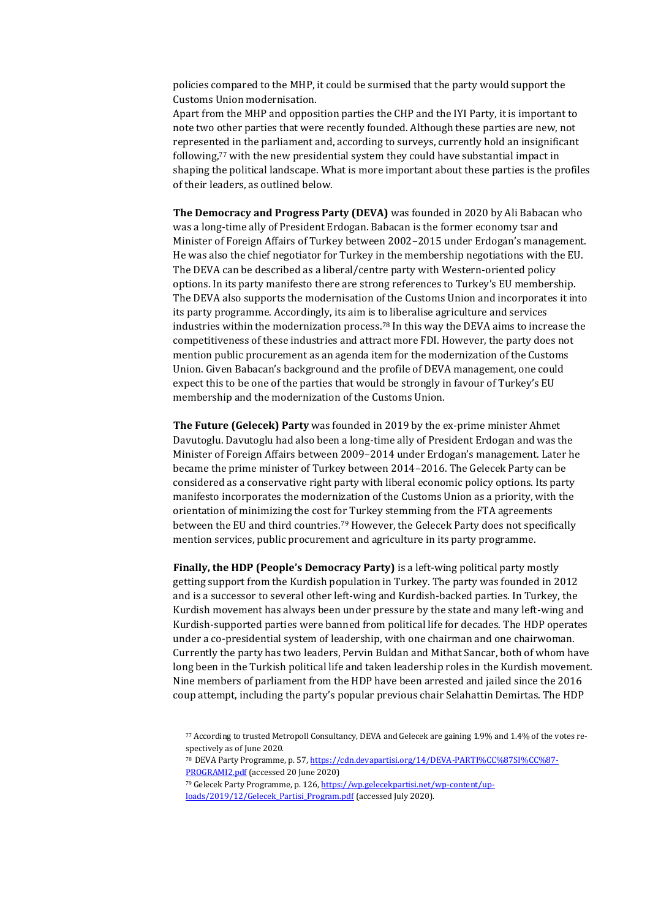policies compared to the MHP, it could be surmised that the party would support the Customs Union modernisation.

Apart from the MHP and opposition parties the CHP and the IYI Party, it is important to note two other parties that were recently founded. Although these parties are new, not represented in the parliament and, according to surveys, currently hold an insignificant following,<sup>77</sup> with the new presidential system they could have substantial impact in shaping the political landscape. What is more important about these parties is the profiles of their leaders, as outlined below.

**The Democracy and Progress Party (DEVA)** was founded in 2020 by Ali Babacan who was a long-time ally of President Erdogan. Babacan is the former economy tsar and Minister of Foreign Affairs of Turkey between 2002–2015 under Erdogan's management. He was also the chief negotiator for Turkey in the membership negotiations with the EU. The DEVA can be described as a liberal/centre party with Western-oriented policy options. In its party manifesto there are strong references to Turkey's EU membership. The DEVA also supports the modernisation of the Customs Union and incorporates it into its party programme. Accordingly, its aim is to liberalise agriculture and services industries within the modernization process.<sup>78</sup> In this way the DEVA aims to increase the competitiveness of these industries and attract more FDI. However, the party does not mention public procurement as an agenda item for the modernization of the Customs Union. Given Babacan's background and the profile of DEVA management, one could expect this to be one of the parties that would be strongly in favour of Turkey's EU membership and the modernization of the Customs Union.

**The Future (Gelecek) Party** was founded in 2019 by the ex-prime minister Ahmet Davutoglu. Davutoglu had also been a long-time ally of President Erdogan and was the Minister of Foreign Affairs between 2009–2014 under Erdogan's management. Later he became the prime minister of Turkey between 2014–2016. The Gelecek Party can be considered as a conservative right party with liberal economic policy options. Its party manifesto incorporates the modernization of the Customs Union as a priority, with the orientation of minimizing the cost for Turkey stemming from the FTA agreements between the EU and third countries.<sup>79</sup> However, the Gelecek Party does not specifically mention services, public procurement and agriculture in its party programme.

**Finally, the HDP (People's Democracy Party)** is a left-wing political party mostly getting support from the Kurdish population in Turkey. The party was founded in 2012 and is a successor to several other left-wing and Kurdish-backed parties. In Turkey, the Kurdish movement has always been under pressure by the state and many left-wing and Kurdish-supported parties were banned from political life for decades. The HDP operates under a co-presidential system of leadership, with one chairman and one chairwoman. Currently the party has two leaders, Pervin Buldan and Mithat Sancar, both of whom have long been in the Turkish political life and taken leadership roles in the Kurdish movement. Nine members of parliament from the HDP have been arrested and jailed since the 2016 coup attempt, including the party's popular previous chair Selahattin Demirtas. The HDP

<sup>77</sup> According to trusted Metropoll Consultancy, DEVA and Gelecek are gaining 1.9% and 1.4% of the votes respectively as of June 2020.

<sup>&</sup>lt;sup>78</sup> DEVA Party Programme, p. 57[, https://cdn.devapartisi.org/14/DEVA-PARTI%CC%87SI%CC%87-](https://cdn.devapartisi.org/14/DEVA-PARTİSİ-PROGRAMI2.pdf) [PROGRAMI2.pdf](https://cdn.devapartisi.org/14/DEVA-PARTİSİ-PROGRAMI2.pdf) (accessed 20 June 2020)

<sup>79</sup> Gelecek Party Programme, p. 126[, https://wp.gelecekpartisi.net/wp-content/up](https://wp.gelecekpartisi.net/wp-content/uploads/2019/12/Gelecek_Partisi_Program.pdf)loads/2019/12/Gelecek Partisi Program.pdf (accessed July 2020).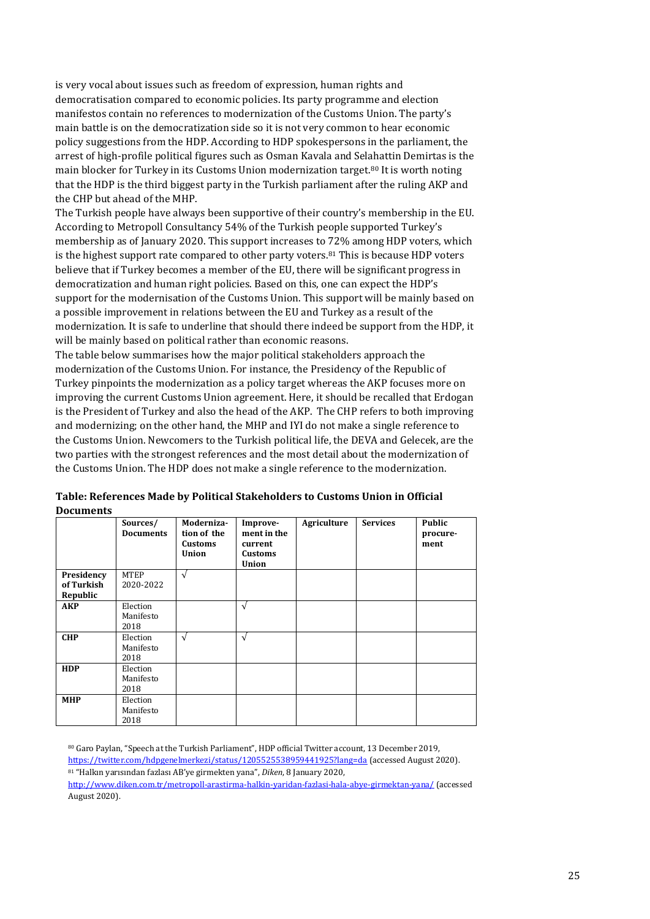is very vocal about issues such as freedom of expression, human rights and democratisation compared to economic policies. Its party programme and election manifestos contain no references to modernization of the Customs Union. The party's main battle is on the democratization side so it is not very common to hear economic policy suggestions from the HDP. According to HDP spokespersons in the parliament, the arrest of high-profile political figures such as Osman Kavala and Selahattin Demirtas is the main blocker for Turkey in its Customs Union modernization target.<sup>80</sup> It is worth noting that the HDP is the third biggest party in the Turkish parliament after the ruling AKP and the CHP but ahead of the MHP.

The Turkish people have always been supportive of their country's membership in the EU. According to Metropoll Consultancy 54% of the Turkish people supported Turkey's membership as of January 2020. This support increases to 72% among HDP voters, which is the highest support rate compared to other party voters.<sup>81</sup> This is because HDP voters believe that if Turkey becomes a member of the EU, there will be significant progress in democratization and human right policies. Based on this, one can expect the HDP's support for the modernisation of the Customs Union. This support will be mainly based on a possible improvement in relations between the EU and Turkey as a result of the modernization. It is safe to underline that should there indeed be support from the HDP, it will be mainly based on political rather than economic reasons.

The table below summarises how the major political stakeholders approach the modernization of the Customs Union. For instance, the Presidency of the Republic of Turkey pinpoints the modernization as a policy target whereas the AKP focuses more on improving the current Customs Union agreement. Here, it should be recalled that Erdogan is the President of Turkey and also the head of the AKP. The CHP refers to both improving and modernizing; on the other hand, the MHP and IYI do not make a single reference to the Customs Union. Newcomers to the Turkish political life, the DEVA and Gelecek, are the two parties with the strongest references and the most detail about the modernization of the Customs Union. The HDP does not make a single reference to the modernization.

|                                      | Sources/<br><b>Documents</b>  | Moderniza-<br>tion of the<br><b>Customs</b><br><b>Union</b> | Improve-<br>ment in the<br>current<br><b>Customs</b><br><b>Union</b> | Agriculture | <b>Services</b> | <b>Public</b><br>procure-<br>ment |
|--------------------------------------|-------------------------------|-------------------------------------------------------------|----------------------------------------------------------------------|-------------|-----------------|-----------------------------------|
| Presidency<br>of Turkish<br>Republic | <b>MTEP</b><br>2020-2022      | $\sqrt{ }$                                                  |                                                                      |             |                 |                                   |
| <b>AKP</b>                           | Election<br>Manifesto<br>2018 |                                                             | $\sqrt{ }$                                                           |             |                 |                                   |
| <b>CHP</b>                           | Election<br>Manifesto<br>2018 | V                                                           | $\sqrt{ }$                                                           |             |                 |                                   |
| <b>HDP</b>                           | Election<br>Manifesto<br>2018 |                                                             |                                                                      |             |                 |                                   |
| <b>MHP</b>                           | Election<br>Manifesto<br>2018 |                                                             |                                                                      |             |                 |                                   |

**Table: References Made by Political Stakeholders to Customs Union in Official Documents**

<sup>80</sup> Garo Paylan, "Speech at the Turkish Parliament", HDP official Twitter account, 13 December 2019, <https://twitter.com/hdpgenelmerkezi/status/1205525538959441925?lang=da> (accessed August 2020). <sup>81</sup> "Halkın yarısından fazlası AB'ye girmekten yana", *Diken*, 8 January 2020,

<http://www.diken.com.tr/metropoll-arastirma-halkin-yaridan-fazlasi-hala-abye-girmektan-yana/> (accessed August 2020).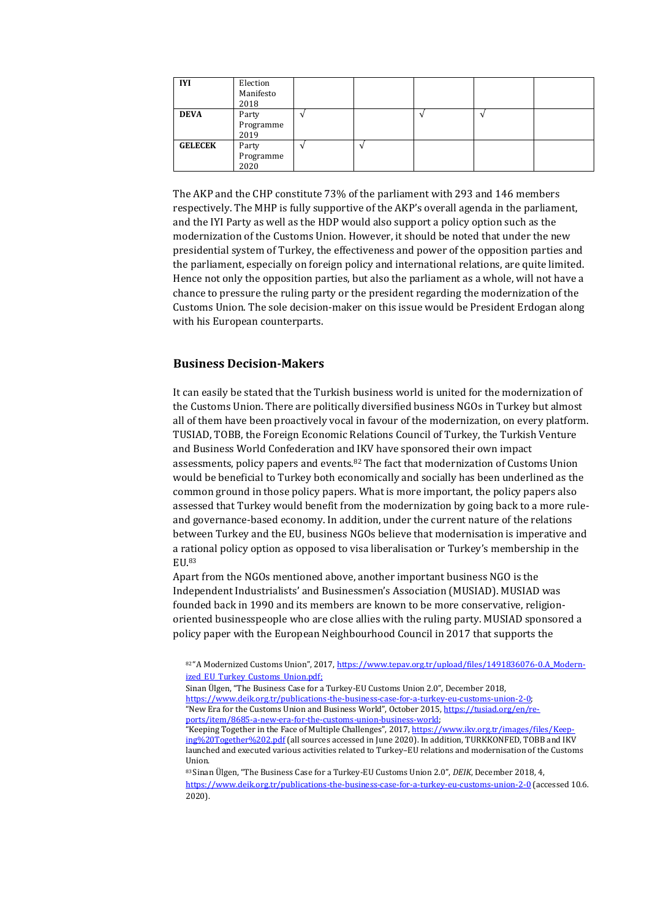| <b>IYI</b>     | Election<br>Manifesto<br>2018 |  |  |  |
|----------------|-------------------------------|--|--|--|
| <b>DEVA</b>    | Party<br>Programme<br>2019    |  |  |  |
| <b>GELECEK</b> | Party<br>Programme<br>2020    |  |  |  |

The AKP and the CHP constitute 73% of the parliament with 293 and 146 members respectively. The MHP is fully supportive of the AKP's overall agenda in the parliament, and the IYI Party as well as the HDP would also support a policy option such as the modernization of the Customs Union. However, it should be noted that under the new presidential system of Turkey, the effectiveness and power of the opposition parties and the parliament, especially on foreign policy and international relations, are quite limited. Hence not only the opposition parties, but also the parliament as a whole, will not have a chance to pressure the ruling party or the president regarding the modernization of the Customs Union. The sole decision-maker on this issue would be President Erdogan along with his European counterparts.

#### <span id="page-25-0"></span>**Business Decision-Makers**

It can easily be stated that the Turkish business world is united for the modernization of the Customs Union. There are politically diversified business NGOs in Turkey but almost all of them have been proactively vocal in favour of the modernization, on every platform. TUSIAD, TOBB, the Foreign Economic Relations Council of Turkey, the Turkish Venture and Business World Confederation and IKV have sponsored their own impact assessments, policy papers and events.<sup>82</sup> The fact that modernization of Customs Union would be beneficial to Turkey both economically and socially has been underlined as the common ground in those policy papers. What is more important, the policy papers also assessed that Turkey would benefit from the modernization by going back to a more ruleand governance-based economy. In addition, under the current nature of the relations between Turkey and the EU, business NGOs believe that modernisation is imperative and a rational policy option as opposed to visa liberalisation or Turkey's membership in the EU.<sup>83</sup>

Apart from the NGOs mentioned above, another important business NGO is the Independent Industrialists' and Businessmen's Association (MUSIAD). MUSIAD was founded back in 1990 and its members are known to be more conservative, religionoriented businesspeople who are close allies with the ruling party. MUSIAD sponsored a policy paper with the European Neighbourhood Council in 2017 that supports the

<sup>82&</sup>quot;A Modernized Customs Union", 2017, [https://www.tepav.org.tr/upload/files/1491836076-0.A\\_Modern](https://www.tepav.org.tr/upload/files/1491836076-0.A_Modernized_EU_Turkey_Customs_Union.pdf)ized\_EU\_Turkey\_Customs\_Union.pdf:

Sinan Ülgen, "The Business Case for a Turkey-EU Customs Union 2.0", December 2018,

[https://www.deik.org.tr/publications-the-business-case-for-a-turkey-eu-customs-union-2-0;](https://www.deik.org.tr/publications-the-business-case-for-a-turkey-eu-customs-union-2-0) "New Era for the Customs Union and Business World", October 2015, [https://tusiad.org/en/re](https://tusiad.org/en/reports/item/8685-a-new-era-for-the-customs-union-business-world)[ports/item/8685-a-new-era-for-the-customs-union-business-world;](https://tusiad.org/en/reports/item/8685-a-new-era-for-the-customs-union-business-world)

<sup>&</sup>quot;Keeping Together in the Face of Multiple Challenges", 2017, [https://www.ikv.org.tr/images/files/Keep](https://www.ikv.org.tr/images/files/Keeping%20Together%202.pdf)[ing%20Together%202.pdf](https://www.ikv.org.tr/images/files/Keeping%20Together%202.pdf) (all sources accessed in June 2020). In addition, TURKKONFED, TOBB and IKV launched and executed various activities related to Turkey–EU relations and modernisation of the Customs Union.

<sup>83</sup> Sinan Ülgen, "The Business Case for a Turkey-EU Customs Union 2.0", *DEIK*, December 2018, 4, <https://www.deik.org.tr/publications-the-business-case-for-a-turkey-eu-customs-union-2-0> (accessed 10.6. 2020).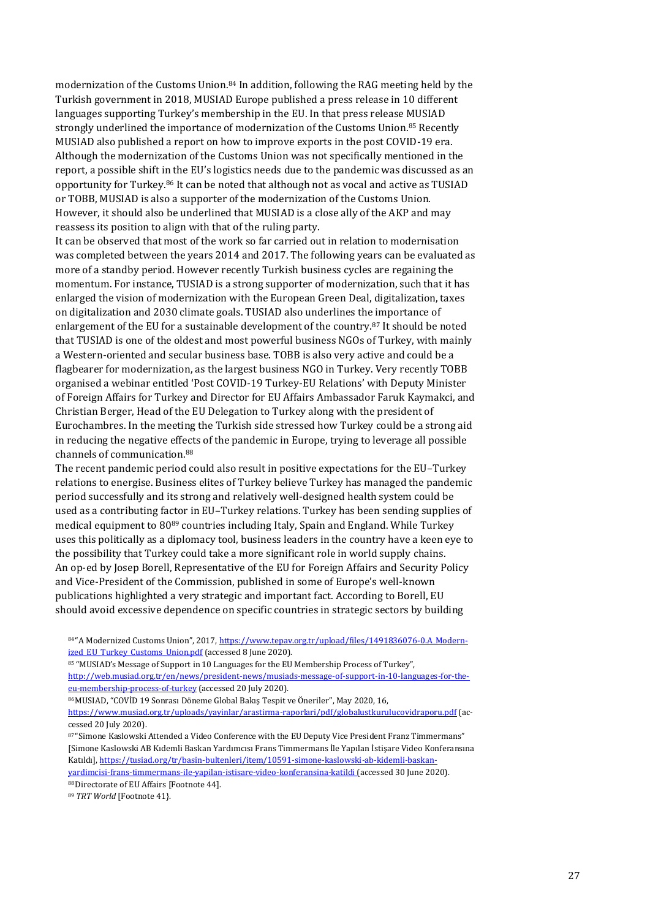modernization of the Customs Union.<sup>84</sup> In addition, following the RAG meeting held by the Turkish government in 2018, MUSIAD Europe published a press release in 10 different languages supporting Turkey's membership in the EU. In that press release MUSIAD strongly underlined the importance of modernization of the Customs Union.<sup>85</sup> Recently MUSIAD also published a report on how to improve exports in the post COVID-19 era. Although the modernization of the Customs Union was not specifically mentioned in the report, a possible shift in the EU's logistics needs due to the pandemic was discussed as an opportunity for Turkey.<sup>86</sup> It can be noted that although not as vocal and active as TUSIAD or TOBB, MUSIAD is also a supporter of the modernization of the Customs Union. However, it should also be underlined that MUSIAD is a close ally of the AKP and may reassess its position to align with that of the ruling party.

It can be observed that most of the work so far carried out in relation to modernisation was completed between the years 2014 and 2017. The following years can be evaluated as more of a standby period. However recently Turkish business cycles are regaining the momentum. For instance, TUSIAD is a strong supporter of modernization, such that it has enlarged the vision of modernization with the European Green Deal, digitalization, taxes on digitalization and 2030 climate goals. TUSIAD also underlines the importance of enlargement of the EU for a sustainable development of the country.<sup>87</sup> It should be noted that TUSIAD is one of the oldest and most powerful business NGOs of Turkey, with mainly a Western-oriented and secular business base. TOBB is also very active and could be a flagbearer for modernization, as the largest business NGO in Turkey. Very recently TOBB organised a webinar entitled 'Post COVID-19 Turkey-EU Relations' with Deputy Minister of Foreign Affairs for Turkey and Director for EU Affairs Ambassador Faruk Kaymakci, and Christian Berger, Head of the EU Delegation to Turkey along with the president of Eurochambres. In the meeting the Turkish side stressed how Turkey could be a strong aid in reducing the negative effects of the pandemic in Europe, trying to leverage all possible channels of communication.<sup>88</sup>

The recent pandemic period could also result in positive expectations for the EU–Turkey relations to energise. Business elites of Turkey believe Turkey has managed the pandemic period successfully and its strong and relatively well-designed health system could be used as a contributing factor in EU–Turkey relations. Turkey has been sending supplies of medical equipment to 80<sup>89</sup> countries including Italy, Spain and England. While Turkey uses this politically as a diplomacy tool, business leaders in the country have a keen eye to the possibility that Turkey could take a more significant role in world supply chains. An op-ed by Josep Borell, Representative of the EU for Foreign Affairs and Security Policy and Vice-President of the Commission, published in some of Europe's well-known publications highlighted a very strategic and important fact. According to Borell, EU should avoid excessive dependence on specific countries in strategic sectors by building

84 "A Modernized Customs Union", 2017, [https://www.tepav.org.tr/upload/files/1491836076-0.A\\_Modern](https://www.tepav.org.tr/upload/files/1491836076-0.A_Modernized_EU_Turkey_Customs_Union.pdf)ized EU Turkey Customs Union.pdf (accessed 8 June 2020).

85 "MUSIAD's Message of Support in 10 Languages for the EU Membership Process of Turkey", [http://web.musiad.org.tr/en/news/president-news/musiads-message-of-support-in-10-languages-for-the](http://web.musiad.org.tr/en/news/president-news/musiads-message-of-support-in-10-languages-for-the-eu-membership-process-of-turkey)[eu-membership-process-of-turkey](http://web.musiad.org.tr/en/news/president-news/musiads-message-of-support-in-10-languages-for-the-eu-membership-process-of-turkey) (accessed 20 July 2020).

86 MUSIAD, "COVİD 19 Sonrası Döneme Global Bakış Tespit ve Öneriler", May 2020, 16,

<https://www.musiad.org.tr/uploads/yayinlar/arastirma-raporlari/pdf/globalustkurulucovidraporu.pdf> (accessed 20 July 2020).

87 "Simone Kaslowski Attended a Video Conference with the EU Deputy Vice President Franz Timmermans" [Simone Kaslowski AB Kıdemli Baskan Yardımcısı Frans Timmermans İle Yapılan İstişare Video Konferansına Katıldı], [https://tusiad.org/tr/basin-bultenleri/item/10591-simone-kaslowski-ab-kidemli-baskan](https://tusiad.org/tr/basin-bultenleri/item/10591-simone-kaslowski-ab-kidemli-baskan-yardimcisi-frans-timmermans-ile-yapilan-istisare-video-konferansina-katildi)[yardimcisi-frans-timmermans-ile-yapilan-istisare-video-konferansina-katildi](https://tusiad.org/tr/basin-bultenleri/item/10591-simone-kaslowski-ab-kidemli-baskan-yardimcisi-frans-timmermans-ile-yapilan-istisare-video-konferansina-katildi) (accessed 30 June 2020).

88 Directorate of EU Affairs [Footnote 44].

<sup>89</sup> *TRT World* [Footnote 41}.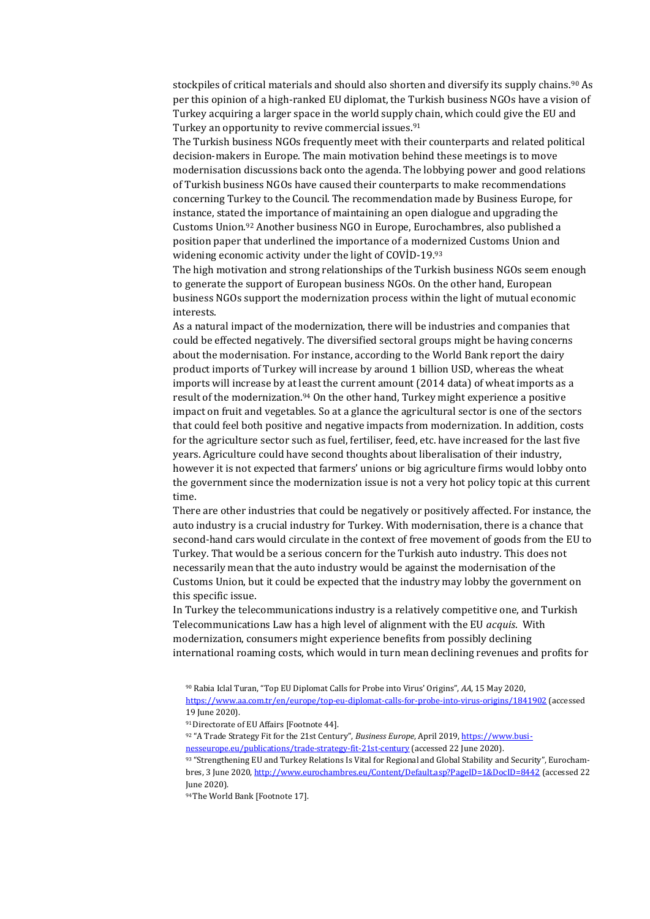stockpiles of critical materials and should also shorten and diversify its supply chains.<sup>90</sup> As per this opinion of a high-ranked EU diplomat, the Turkish business NGOs have a vision of Turkey acquiring a larger space in the world supply chain, which could give the EU and Turkey an opportunity to revive commercial issues.<sup>91</sup>

The Turkish business NGOs frequently meet with their counterparts and related political decision-makers in Europe. The main motivation behind these meetings is to move modernisation discussions back onto the agenda. The lobbying power and good relations of Turkish business NGOs have caused their counterparts to make recommendations concerning Turkey to the Council. The recommendation made by Business Europe, for instance, stated the importance of maintaining an open dialogue and upgrading the Customs Union.<sup>92</sup> Another business NGO in Europe, Eurochambres, also published a position paper that underlined the importance of a modernized Customs Union and widening economic activity under the light of COVİD-19.<sup>93</sup>

The high motivation and strong relationships of the Turkish business NGOs seem enough to generate the support of European business NGOs. On the other hand, European business NGOs support the modernization process within the light of mutual economic interests.

As a natural impact of the modernization, there will be industries and companies that could be effected negatively. The diversified sectoral groups might be having concerns about the modernisation. For instance, according to the World Bank report the dairy product imports of Turkey will increase by around 1 billion USD, whereas the wheat imports will increase by at least the current amount (2014 data) of wheat imports as a result of the modernization.<sup>94</sup> On the other hand, Turkey might experience a positive impact on fruit and vegetables. So at a glance the agricultural sector is one of the sectors that could feel both positive and negative impacts from modernization. In addition, costs for the agriculture sector such as fuel, fertiliser, feed, etc. have increased for the last five years. Agriculture could have second thoughts about liberalisation of their industry, however it is not expected that farmers' unions or big agriculture firms would lobby onto the government since the modernization issue is not a very hot policy topic at this current time.

There are other industries that could be negatively or positively affected. For instance, the auto industry is a crucial industry for Turkey. With modernisation, there is a chance that second-hand cars would circulate in the context of free movement of goods from the EU to Turkey. That would be a serious concern for the Turkish auto industry. This does not necessarily mean that the auto industry would be against the modernisation of the Customs Union, but it could be expected that the industry may lobby the government on this specific issue.

In Turkey the telecommunications industry is a relatively competitive one, and Turkish Telecommunications Law has a high level of alignment with the EU *acquis*. With modernization, consumers might experience benefits from possibly declining international roaming costs, which would in turn mean declining revenues and profits for

<sup>91</sup> Directorate of EU Affairs [Footnote 44].

92 "A Trade Strategy Fit for the 21st Century", *Business Europe*, April 2019[, https://www.busi](https://www.businesseurope.eu/publications/trade-strategy-fit-21st-century)[nesseurope.eu/publications/trade-strategy-fit-21st-century](https://www.businesseurope.eu/publications/trade-strategy-fit-21st-century) (accessed 22 June 2020).

93 "Strengthening EU and Turkey Relations Is Vital for Regional and Global Stability and Security", Eurochambres, 3 June 2020[, http://www.eurochambres.eu/Content/Default.asp?PageID=1&DocID=8442](http://www.eurochambres.eu/Content/Default.asp?PageID=1&DocID=8442) (accessed 22 June 2020).

94 The World Bank [Footnote 17].

<sup>90</sup> Rabia Iclal Turan, "Top EU Diplomat Calls for Probe into Virus' Origins", *AA*, 15 May 2020, <https://www.aa.com.tr/en/europe/top-eu-diplomat-calls-for-probe-into-virus-origins/1841902> (accessed 19 June 2020).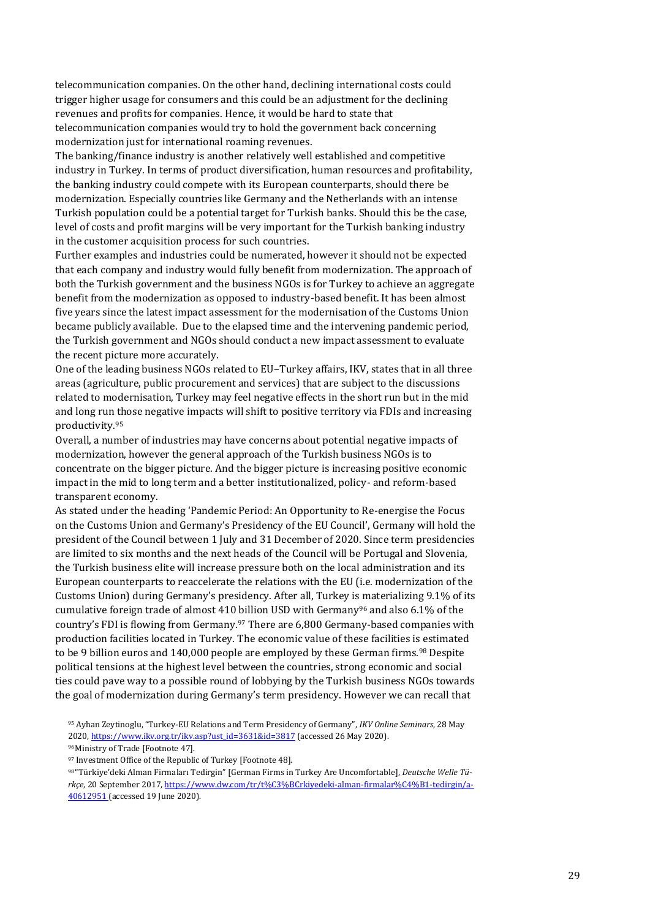telecommunication companies. On the other hand, declining international costs could trigger higher usage for consumers and this could be an adjustment for the declining revenues and profits for companies. Hence, it would be hard to state that telecommunication companies would try to hold the government back concerning modernization just for international roaming revenues.

The banking/finance industry is another relatively well established and competitive industry in Turkey. In terms of product diversification, human resources and profitability, the banking industry could compete with its European counterparts, should there be modernization. Especially countries like Germany and the Netherlands with an intense Turkish population could be a potential target for Turkish banks. Should this be the case, level of costs and profit margins will be very important for the Turkish banking industry in the customer acquisition process for such countries.

Further examples and industries could be numerated, however it should not be expected that each company and industry would fully benefit from modernization. The approach of both the Turkish government and the business NGOs is for Turkey to achieve an aggregate benefit from the modernization as opposed to industry-based benefit. It has been almost five years since the latest impact assessment for the modernisation of the Customs Union became publicly available. Due to the elapsed time and the intervening pandemic period, the Turkish government and NGOs should conduct a new impact assessment to evaluate the recent picture more accurately.

One of the leading business NGOs related to EU–Turkey affairs, IKV, states that in all three areas (agriculture, public procurement and services) that are subject to the discussions related to modernisation, Turkey may feel negative effects in the short run but in the mid and long run those negative impacts will shift to positive territory via FDIs and increasing productivity.<sup>95</sup>

Overall, a number of industries may have concerns about potential negative impacts of modernization, however the general approach of the Turkish business NGOs is to concentrate on the bigger picture. And the bigger picture is increasing positive economic impact in the mid to long term and a better institutionalized, policy- and reform-based transparent economy.

As stated under the heading 'Pandemic Period: An Opportunity to Re-energise the Focus on the Customs Union and Germany's Presidency of the EU Council', Germany will hold the president of the Council between 1 July and 31 December of 2020. Since term presidencies are limited to six months and the next heads of the Council will be Portugal and Slovenia, the Turkish business elite will increase pressure both on the local administration and its European counterparts to reaccelerate the relations with the EU (i.e. modernization of the Customs Union) during Germany's presidency. After all, Turkey is materializing 9.1% of its cumulative foreign trade of almost 410 billion USD with Germany<sup>96</sup> and also 6.1% of the country's FDI is flowing from Germany.<sup>97</sup> There are 6,800 Germany-based companies with production facilities located in Turkey. The economic value of these facilities is estimated to be 9 billion euros and 140,000 people are employed by these German firms.<sup>98</sup> Despite political tensions at the highest level between the countries, strong economic and social ties could pave way to a possible round of lobbying by the Turkish business NGOs towards the goal of modernization during Germany's term presidency. However we can recall that

<sup>95</sup> Ayhan Zeytinoglu, "Turkey-EU Relations and Term Presidency of Germany", *IKV Online Seminars*, 28 May 2020[, https://www.ikv.org.tr/ikv.asp?ust\\_id=3631&id=3817](https://www.ikv.org.tr/ikv.asp?ust_id=3631&id=3817) (accessed 26 May 2020).

<sup>96</sup>Ministry of Trade [Footnote 47].

<sup>97</sup> Investment Office of the Republic of Turkey [Footnote 48].

<sup>98</sup> "Türkiye'deki Alman Firmaları Tedirgin" [German Firms in Turkey Are Uncomfortable], *Deutsche Welle Türkçe*, 20 September 2017, https://www.dw.com/tr/t%C3%BCrkiyedeki-alman-firmalar%C4%B1-tedirgin/a-40612951 (accessed 19 June 2020).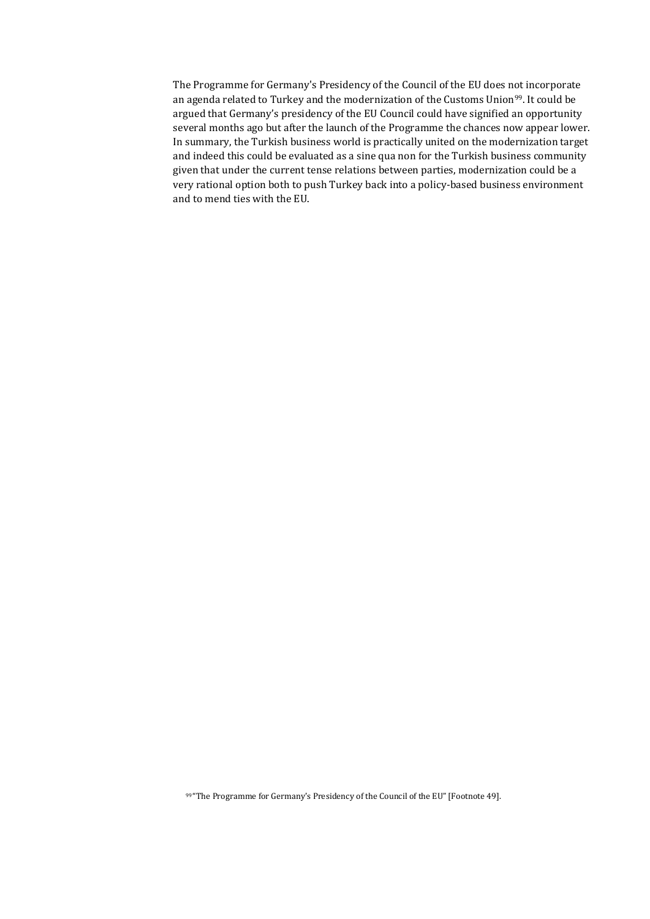The Programme for Germany's Presidency of the Council of the EU does not incorporate an agenda related to Turkey and the modernization of the Customs Union<sup>99</sup>. It could be argued that Germany's presidency of the EU Council could have signified an opportunity several months ago but after the launch of the Programme the chances now appear lower. In summary, the Turkish business world is practically united on the modernization target and indeed this could be evaluated as a sine qua non for the Turkish business community given that under the current tense relations between parties, modernization could be a very rational option both to push Turkey back into a policy-based business environment and to mend ties with the EU.

99 "The Programme for Germany's Presidency of the Council of the EU" [Footnote 49].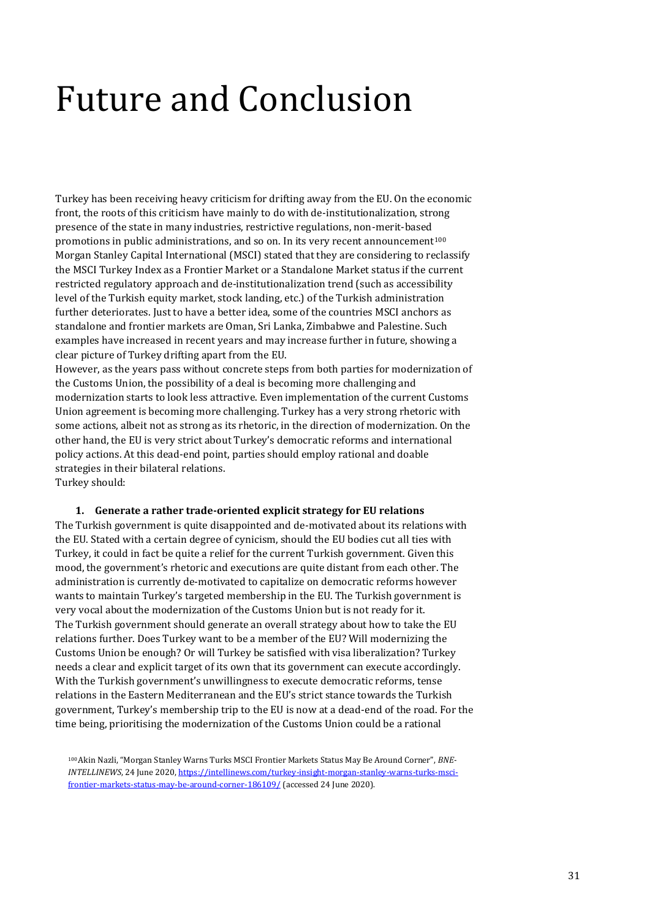# <span id="page-30-0"></span>Future and Conclusion

Turkey has been receiving heavy criticism for drifting away from the EU. On the economic front, the roots of this criticism have mainly to do with de-institutionalization, strong presence of the state in many industries, restrictive regulations, non-merit-based promotions in public administrations, and so on. In its very recent announcement<sup>100</sup> Morgan Stanley Capital International (MSCI) stated that they are considering to reclassify the MSCI Turkey Index as a Frontier Market or a Standalone Market status if the current restricted regulatory approach and de-institutionalization trend (such as accessibility level of the Turkish equity market, stock landing, etc.) of the Turkish administration further deteriorates. Just to have a better idea, some of the countries MSCI anchors as standalone and frontier markets are Oman, Sri Lanka, Zimbabwe and Palestine. Such examples have increased in recent years and may increase further in future, showing a clear picture of Turkey drifting apart from the EU.

However, as the years pass without concrete steps from both parties for modernization of the Customs Union, the possibility of a deal is becoming more challenging and modernization starts to look less attractive. Even implementation of the current Customs Union agreement is becoming more challenging. Turkey has a very strong rhetoric with some actions, albeit not as strong as its rhetoric, in the direction of modernization. On the other hand, the EU is very strict about Turkey's democratic reforms and international policy actions. At this dead-end point, parties should employ rational and doable strategies in their bilateral relations. Turkey should:

#### **1. Generate a rather trade-oriented explicit strategy for EU relations**

The Turkish government is quite disappointed and de-motivated about its relations with the EU. Stated with a certain degree of cynicism, should the EU bodies cut all ties with Turkey, it could in fact be quite a relief for the current Turkish government. Given this mood, the government's rhetoric and executions are quite distant from each other. The administration is currently de-motivated to capitalize on democratic reforms however wants to maintain Turkey's targeted membership in the EU. The Turkish government is very vocal about the modernization of the Customs Union but is not ready for it. The Turkish government should generate an overall strategy about how to take the EU relations further. Does Turkey want to be a member of the EU? Will modernizing the Customs Union be enough? Or will Turkey be satisfied with visa liberalization? Turkey needs a clear and explicit target of its own that its government can execute accordingly. With the Turkish government's unwillingness to execute democratic reforms, tense relations in the Eastern Mediterranean and the EU's strict stance towards the Turkish government, Turkey's membership trip to the EU is now at a dead-end of the road. For the time being, prioritising the modernization of the Customs Union could be a rational

<sup>100</sup>Akin Nazli, "Morgan Stanley Warns Turks MSCI Frontier Markets Status May Be Around Corner", *BNE-INTELLINEWS*, 24 June 2020[, https://intellinews.com/turkey-insight-morgan-stanley-warns-turks-msci](https://intellinews.com/turkey-insight-morgan-stanley-warns-turks-msci-frontier-markets-status-may-be-around-corner-186109/)[frontier-markets-status-may-be-around-corner-186109/](https://intellinews.com/turkey-insight-morgan-stanley-warns-turks-msci-frontier-markets-status-may-be-around-corner-186109/) (accessed 24 June 2020).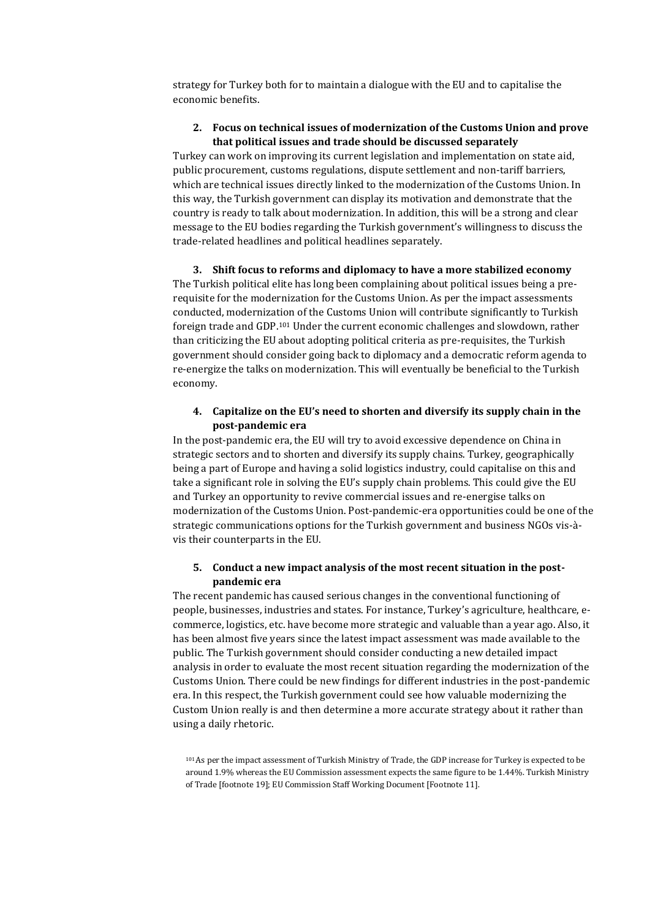strategy for Turkey both for to maintain a dialogue with the EU and to capitalise the economic benefits.

#### **2. Focus on technical issues of modernization of the Customs Union and prove that political issues and trade should be discussed separately**

Turkey can work on improving its current legislation and implementation on state aid, public procurement, customs regulations, dispute settlement and non-tariff barriers, which are technical issues directly linked to the modernization of the Customs Union. In this way, the Turkish government can display its motivation and demonstrate that the country is ready to talk about modernization. In addition, this will be a strong and clear message to the EU bodies regarding the Turkish government's willingness to discuss the trade-related headlines and political headlines separately.

**3. Shift focus to reforms and diplomacy to have a more stabilized economy**  The Turkish political elite has long been complaining about political issues being a prerequisite for the modernization for the Customs Union. As per the impact assessments conducted, modernization of the Customs Union will contribute significantly to Turkish foreign trade and GDP.<sup>101</sup> Under the current economic challenges and slowdown, rather than criticizing the EU about adopting political criteria as pre-requisites, the Turkish government should consider going back to diplomacy and a democratic reform agenda to re-energize the talks on modernization. This will eventually be beneficial to the Turkish economy.

#### **4. Capitalize on the EU's need to shorten and diversify its supply chain in the post-pandemic era**

In the post-pandemic era, the EU will try to avoid excessive dependence on China in strategic sectors and to shorten and diversify its supply chains. Turkey, geographically being a part of Europe and having a solid logistics industry, could capitalise on this and take a significant role in solving the EU's supply chain problems. This could give the EU and Turkey an opportunity to revive commercial issues and re-energise talks on modernization of the Customs Union. Post-pandemic-era opportunities could be one of the strategic communications options for the Turkish government and business NGOs vis-àvis their counterparts in the EU.

#### **5. Conduct a new impact analysis of the most recent situation in the postpandemic era**

The recent pandemic has caused serious changes in the conventional functioning of people, businesses, industries and states. For instance, Turkey's agriculture, healthcare, ecommerce, logistics, etc. have become more strategic and valuable than a year ago. Also, it has been almost five years since the latest impact assessment was made available to the public. The Turkish government should consider conducting a new detailed impact analysis in order to evaluate the most recent situation regarding the modernization of the Customs Union. There could be new findings for different industries in the post-pandemic era. In this respect, the Turkish government could see how valuable modernizing the Custom Union really is and then determine a more accurate strategy about it rather than using a daily rhetoric.

<sup>101</sup>As per the impact assessment of Turkish Ministry of Trade, the GDP increase for Turkey is expected to be around 1.9% whereas the EU Commission assessment expects the same figure to be 1.44%. Turkish Ministry of Trade [footnote 19]; EU Commission Staff Working Document [Footnote 11].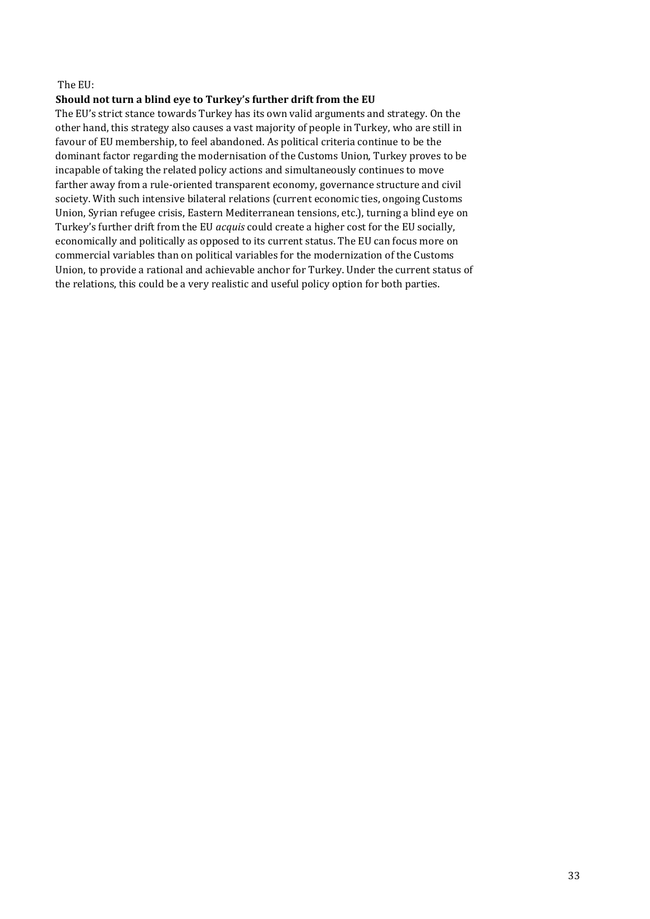#### The EU:

#### **Should not turn a blind eye to Turkey's further drift from the EU**

The EU's strict stance towards Turkey has its own valid arguments and strategy. On the other hand, this strategy also causes a vast majority of people in Turkey, who are still in favour of EU membership, to feel abandoned. As political criteria continue to be the dominant factor regarding the modernisation of the Customs Union, Turkey proves to be incapable of taking the related policy actions and simultaneously continues to move farther away from a rule-oriented transparent economy, governance structure and civil society. With such intensive bilateral relations (current economic ties, ongoing Customs Union, Syrian refugee crisis, Eastern Mediterranean tensions, etc.), turning a blind eye on Turkey's further drift from the EU *acquis* could create a higher cost for the EU socially, economically and politically as opposed to its current status. The EU can focus more on commercial variables than on political variables for the modernization of the Customs Union, to provide a rational and achievable anchor for Turkey. Under the current status of the relations, this could be a very realistic and useful policy option for both parties.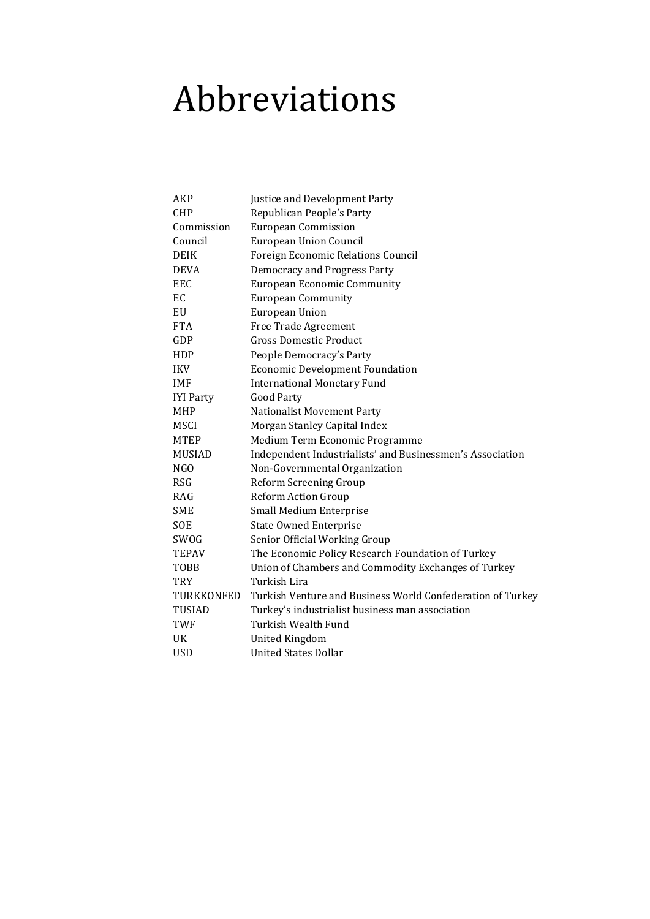# <span id="page-33-0"></span>Abbreviations

| AKP              | Justice and Development Party                              |
|------------------|------------------------------------------------------------|
| <b>CHP</b>       | Republican People's Party                                  |
| Commission       | <b>European Commission</b>                                 |
| Council          | <b>European Union Council</b>                              |
| <b>DEIK</b>      | Foreign Economic Relations Council                         |
| <b>DEVA</b>      | <b>Democracy and Progress Party</b>                        |
| EEC              | <b>European Economic Community</b>                         |
| EC               | <b>European Community</b>                                  |
| EU               | <b>European Union</b>                                      |
| <b>FTA</b>       | Free Trade Agreement                                       |
| GDP              | <b>Gross Domestic Product</b>                              |
| HDP              | People Democracy's Party                                   |
| <b>IKV</b>       | <b>Economic Development Foundation</b>                     |
| <b>IMF</b>       | <b>International Monetary Fund</b>                         |
| <b>IYI Party</b> | Good Party                                                 |
| <b>MHP</b>       | <b>Nationalist Movement Party</b>                          |
| <b>MSCI</b>      | Morgan Stanley Capital Index                               |
| <b>MTEP</b>      | Medium Term Economic Programme                             |
| <b>MUSIAD</b>    | Independent Industrialists' and Businessmen's Association  |
| NGO              | Non-Governmental Organization                              |
| <b>RSG</b>       | Reform Screening Group                                     |
| RAG              | <b>Reform Action Group</b>                                 |
| <b>SME</b>       | Small Medium Enterprise                                    |
| <b>SOE</b>       | <b>State Owned Enterprise</b>                              |
| SWOG             | Senior Official Working Group                              |
| <b>TEPAV</b>     | The Economic Policy Research Foundation of Turkey          |
| TOBB             | Union of Chambers and Commodity Exchanges of Turkey        |
| TRY              | Turkish Lira                                               |
| TURKKONFED       | Turkish Venture and Business World Confederation of Turkey |
| <b>TUSIAD</b>    | Turkey's industrialist business man association            |
| TWF              | Turkish Wealth Fund                                        |
| UK               | <b>United Kingdom</b>                                      |
| <b>USD</b>       | <b>United States Dollar</b>                                |